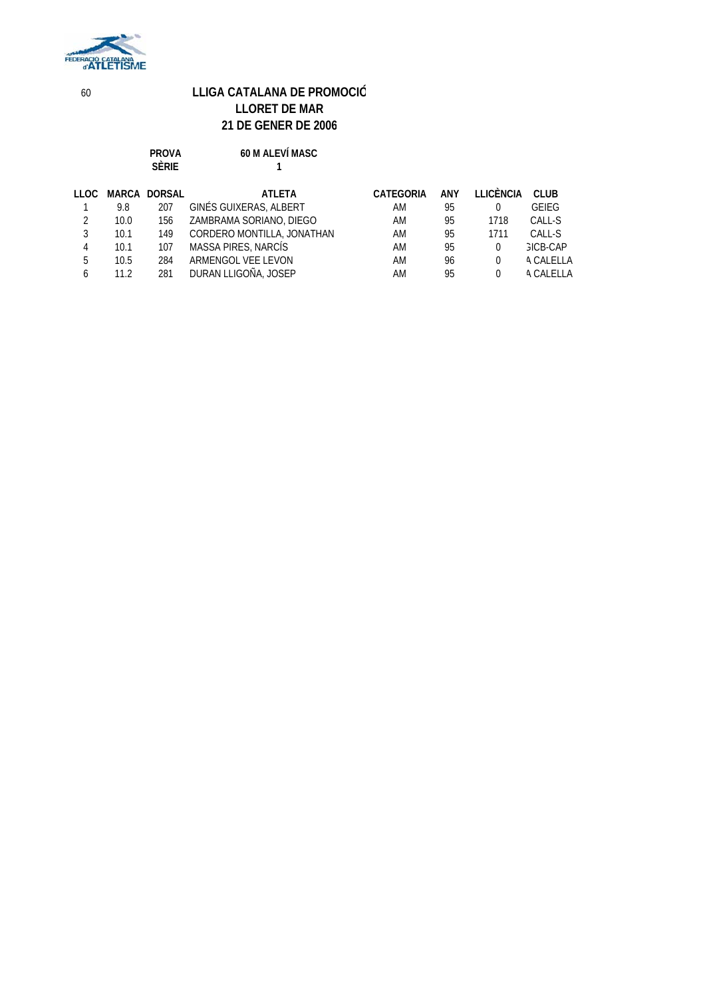

**PROVA 60 M ALEVÍ MASC**

|              |      | <b>SÈRIE</b>        |                            |                  |     |           |                  |
|--------------|------|---------------------|----------------------------|------------------|-----|-----------|------------------|
| LLOC         |      | <b>MARCA DORSAL</b> | <b>ATLETA</b>              | <b>CATEGORIA</b> | ANY | LLICÈNCIA | <b>CLUB</b>      |
|              | 9.8  | 207                 | GINÉS GUIXERAS, ALBERT     | AM               | 95  | 0         | GEIEG            |
| 2            | 10.0 | 156                 | ZAMBRAMA SORIANO, DIEGO    | AM               | 95  | 1718      | CALL-S           |
| 3            | 10.1 | 149                 | CORDERO MONTILLA, JONATHAN | AM               | 95  | 1711      | CALL-S           |
| 4            | 10.1 | 107                 | MASSA PIRES, NARCÍS        | AM               | 95  | 0         | GICB-CAP         |
| 5            | 10.5 | 284                 | ARMENGOL VEE LEVON         | AM               | 96  | $\Omega$  | <b>A CALELLA</b> |
| <sub>6</sub> | 11.2 | 281                 | DURAN LLIGOÑA, JOSEP       | AM               | 95  | $\Omega$  | A CALELLA        |
|              |      |                     |                            |                  |     |           |                  |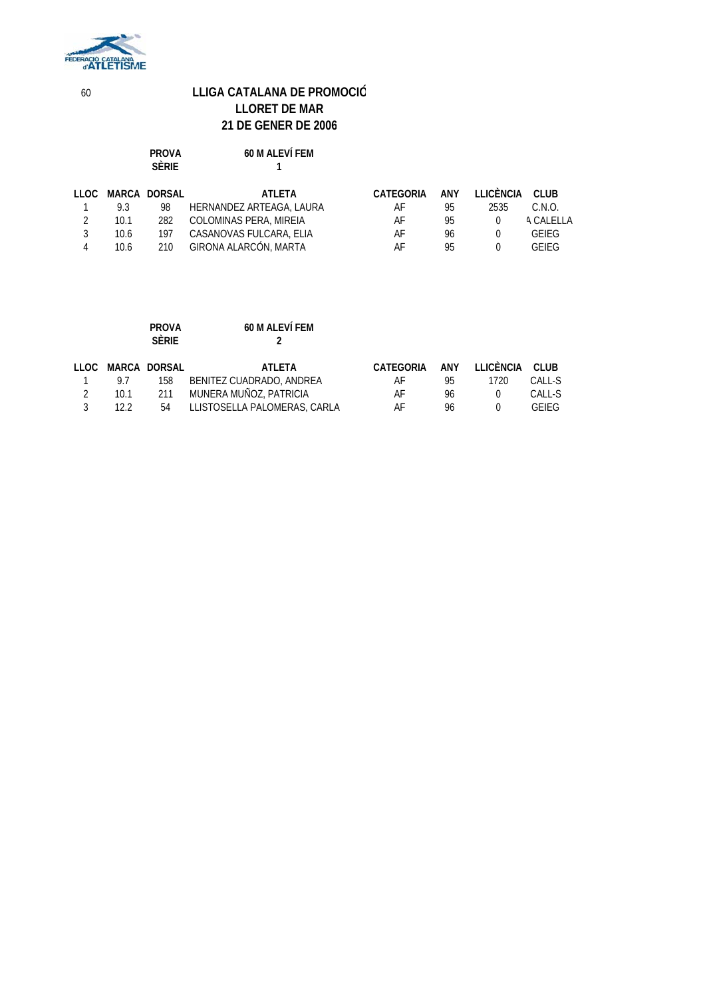

**PROVA 60 M ALEVÍ FEM**

|   |      | .<br><b>SÈRIE</b> |                          |           |     |                  |              |
|---|------|-------------------|--------------------------|-----------|-----|------------------|--------------|
|   |      | LLOC MARCA DORSAL | ATLETA                   | CATEGORIA | ANY | LLICÈNCIA        | <b>CLUB</b>  |
|   | 9.3  | 98                | HERNANDEZ ARTEAGA, LAURA | AF        | 95  | 2535             | C.N.O.       |
|   | 10.1 | 282               | COLOMINAS PERA, MIREIA   | AF        | 95  | $\left( \right)$ | A CALELLA    |
|   | 10.6 | 197               | CASANOVAS FULCARA, ELIA  | AF        | 96  | $\Omega$         | <b>GEIEG</b> |
| 4 | 10.6 | 210               | GIRONA ALARCÓN, MARTA    | AF        | 95  |                  | GEIFG        |
|   |      |                   |                          |           |     |                  |              |

|      | <b>PROVA</b><br><b>SÈRIE</b> | 60 M ALEVÍ FEM               |           |     |           |        |
|------|------------------------------|------------------------------|-----------|-----|-----------|--------|
|      | LLOC MARCA DORSAL            | ATI FTA                      | CATEGORIA | ANY | LLICÈNCIA | CLUB   |
| 9.7  | 158                          | BENITEZ CUADRADO, ANDREA     | AF        | 95  | 1720      | CALL-S |
| 10.1 | 211                          | MUNERA MUÑOZ, PATRICIA       | AF        | 96  |           | CALL-S |
| 12.2 | 54                           | LLISTOSELLA PALOMERAS, CARLA | AF        | 96  |           | GFIFG  |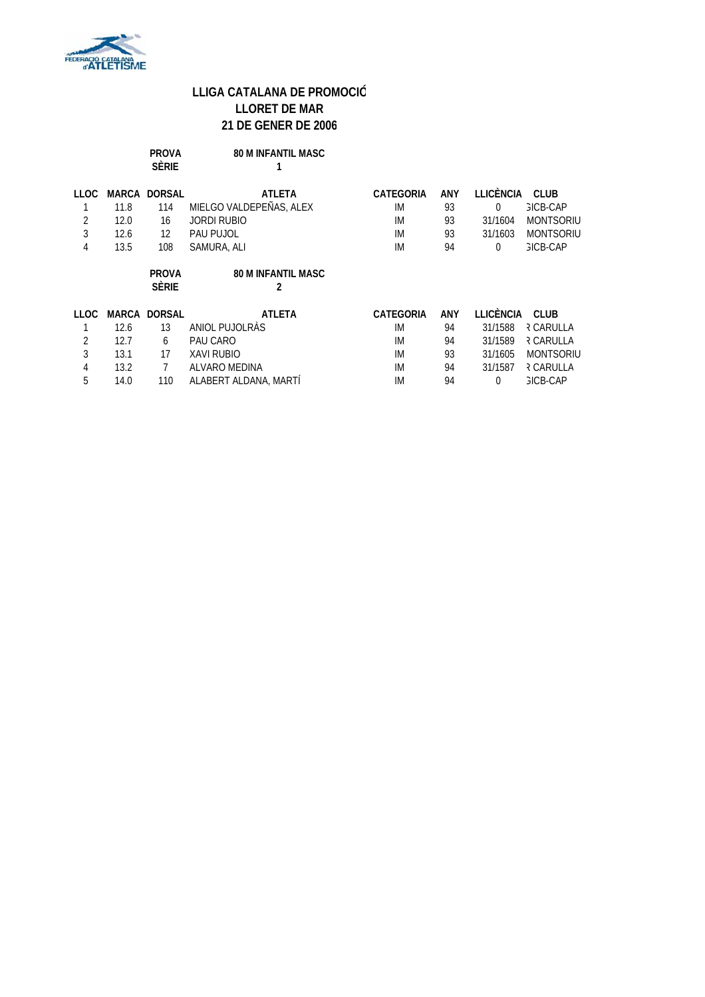

|             |       | <b>PROVA</b><br><b>SÈRIE</b> | <b>80 M INFANTIL MASC</b>      |                  |     |                  |                  |
|-------------|-------|------------------------------|--------------------------------|------------------|-----|------------------|------------------|
| <b>LLOC</b> | MARCA | <b>DORSAL</b>                | <b>ATLETA</b>                  | <b>CATEGORIA</b> | ANY | <b>LLICÈNCIA</b> | <b>CLUB</b>      |
|             | 11.8  | 114                          | MIELGO VALDEPEÑAS, ALEX        | IM               | 93  | 0                | GICB-CAP         |
| 2           | 12.0  | 16                           | JORDI RUBIO                    | <b>IM</b>        | 93  | 31/1604          | <b>MONTSORIU</b> |
| 3           | 12.6  | 12                           | PAU PUJOL                      | <b>IM</b>        | 93  | 31/1603          | <b>MONTSORIU</b> |
| 4           | 13.5  | 108                          | SAMURA, ALI                    | <b>IM</b>        | 94  | 0                | <b>GICB-CAP</b>  |
|             |       |                              |                                |                  |     |                  |                  |
|             |       | <b>PROVA</b><br><b>SÈRIE</b> | <b>80 M INFANTIL MASC</b><br>2 |                  |     |                  |                  |
| <b>LLOC</b> |       | <b>MARCA DORSAL</b>          | <b>ATLETA</b>                  | CATEGORIA        | ANY | <b>LLICÈNCIA</b> | <b>CLUB</b>      |
|             | 12.6  | 13                           | ANIOL PUJOLRÀS                 | IM               | 94  | 31/1588          | <b>REARULLA</b>  |
| 2           | 12.7  | 6                            | PAU CARO                       | <b>IM</b>        | 94  | 31/1589          | <b>REARULLA</b>  |
| 3           | 13.1  | 17                           | <b>XAVI RUBIO</b>              | <b>IM</b>        | 93  | 31/1605          | <b>MONTSORIU</b> |
| 4           | 13.2  |                              | ALVARO MEDINA                  | <b>IM</b>        | 94  | 31/1587          | <b>REARULLA</b>  |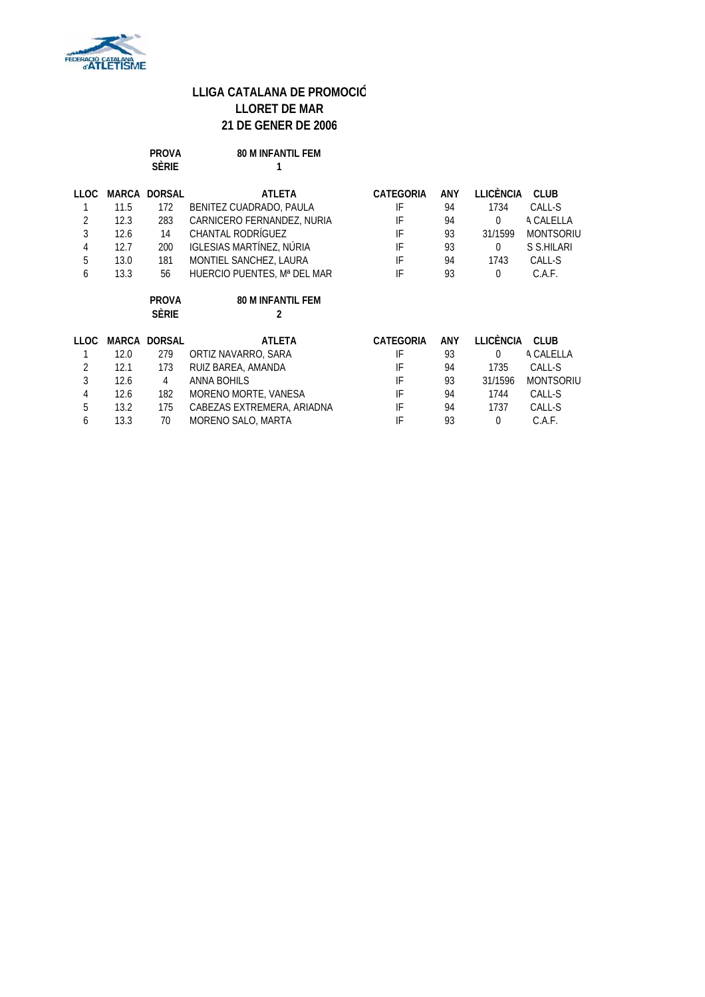

|                |      | <b>PROVA</b><br><b>SÈRIE</b> | <b>80 M INFANTIL FEM</b>      |                  |     |                  |                  |
|----------------|------|------------------------------|-------------------------------|------------------|-----|------------------|------------------|
| <b>LLOC</b>    |      | <b>MARCA DORSAL</b>          | <b>ATLETA</b>                 | <b>CATEGORIA</b> | ANY | <b>LLICÈNCIA</b> | <b>CLUB</b>      |
|                | 11.5 | 172                          | BENITEZ CUADRADO, PAULA       | IF               | 94  | 1734             | CALL-S           |
| 2              | 12.3 | 283                          | CARNICERO FERNANDEZ, NURIA    | IF               | 94  | $\Omega$         | <b>A CALELLA</b> |
| 3              | 12.6 | 14                           | CHANTAL RODRÍGUEZ             | IF               | 93  | 31/1599          | <b>MONTSORIU</b> |
| 4              | 12.7 | 200                          | IGLESIAS MARTÍNEZ, NÚRIA      | IF               | 93  | $\mathbf 0$      | S S.HILARI       |
| 5              | 13.0 | 181                          | MONTIEL SANCHEZ, LAURA        | IF               | 94  | 1743             | CALL-S           |
| 6              | 13.3 | 56                           | HUERCIO PUENTES, Mª DEL MAR   | IF               | 93  | $\mathbf 0$      | C.A.F.           |
|                |      | <b>PROVA</b><br><b>SÈRIE</b> | <b>80 M INFANTIL FEM</b><br>2 |                  |     |                  |                  |
| <b>LLOC</b>    |      | <b>MARCA DORSAL</b>          | <b>ATLETA</b>                 | <b>CATEGORIA</b> | ANY | <b>LLICÈNCIA</b> | CLUB             |
|                | 12.0 | 279                          | ORTIZ NAVARRO, SARA           | IF               | 93  | $\Omega$         | A CALELLA        |
| $\overline{2}$ | 12.1 | 173                          | RUIZ BAREA, AMANDA            | IF               | 94  | 1735             | CALL-S           |
| 3              | 12.6 | 4                            | ANNA BOHILS                   | IF               | 93  | 31/1596          | <b>MONTSORIU</b> |
|                |      |                              |                               |                  |     |                  |                  |
| $\overline{4}$ | 12.6 | 182                          | MORENO MORTE, VANESA          | IF               | 94  | 1744             | CALL-S           |
| 5              | 13.2 | 175                          | CABEZAS EXTREMERA, ARIADNA    | IF               | 94  | 1737             | CALL-S           |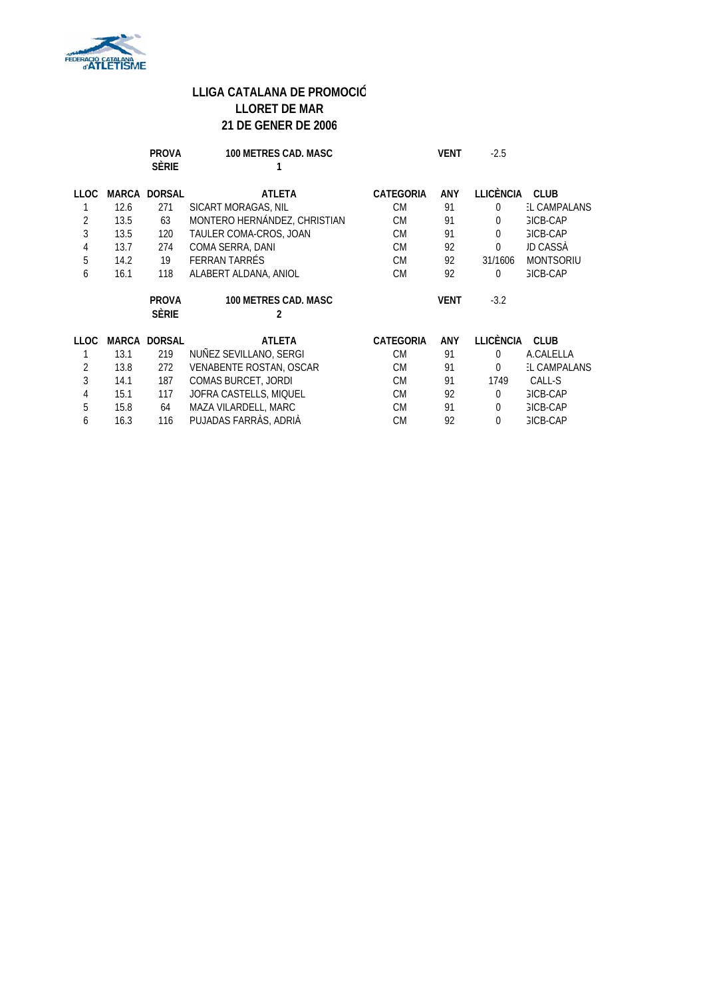

|             |      | <b>PROVA</b><br><b>SÈRIE</b> | <b>100 METRES CAD. MASC</b>      |                  | <b>VENT</b> | $-2.5$           |                    |
|-------------|------|------------------------------|----------------------------------|------------------|-------------|------------------|--------------------|
| <b>LLOC</b> |      | <b>MARCA DORSAL</b>          | <b>ATLETA</b>                    | <b>CATEGORIA</b> | ANY         | <b>LLICÈNCIA</b> | <b>CLUB</b>        |
|             | 12.6 | 271                          | SICART MORAGAS, NIL              | <b>CM</b>        | 91          | $\Omega$         | <b>L CAMPALANS</b> |
| 2           | 13.5 | 63                           | MONTERO HERNÁNDEZ, CHRISTIAN     | <b>CM</b>        | 91          | $\Omega$         | <b>GICB-CAP</b>    |
| 3           | 13.5 | 120                          | TAULER COMA-CROS, JOAN           | <b>CM</b>        | 91          | $\Omega$         | <b>GICB-CAP</b>    |
| 4           | 13.7 | 274                          | COMA SERRA, DANI                 | <b>CM</b>        | 92          | $\Omega$         | JD CASSÀ           |
| 5           | 14.2 | 19                           | FERRAN TARRÉS                    | <b>CM</b>        | 92          | 31/1606          | <b>MONTSORIU</b>   |
| 6           | 16.1 | 118                          | ALABERT ALDANA, ANIOL            | <b>CM</b>        | 92          | $\Omega$         | <b>GICB-CAP</b>    |
|             |      |                              |                                  |                  |             |                  |                    |
|             |      | <b>PROVA</b><br><b>SÈRIE</b> | <b>100 METRES CAD. MASC</b><br>2 |                  | <b>VENT</b> | $-3.2$           |                    |
| <b>LLOC</b> |      | <b>MARCA DORSAL</b>          | <b>ATLETA</b>                    | <b>CATEGORIA</b> | ANY         | <b>LLICÈNCIA</b> | <b>CLUB</b>        |
|             | 13.1 | 219                          | NUÑEZ SEVILLANO, SERGI           | <b>CM</b>        | 91          | $\Omega$         | A.CALELLA          |
| 2           | 13.8 | 272                          | VENABENTE ROSTAN, OSCAR          | <b>CM</b>        | 91          | $\Omega$         | <b>L CAMPALANS</b> |
| 3           | 14.1 | 187                          | COMAS BURCET, JORDI              | <b>CM</b>        | 91          | 1749             | CALL-S             |
| 4           | 15.1 | 117                          | JOFRA CASTELLS, MIQUEL           | <b>CM</b>        | 92          | $\Omega$         | <b>GICB-CAP</b>    |
| 5           | 15.8 | 64                           | MAZA VILARDELL, MARC             | <b>CM</b>        | 91          | $\Omega$         | <b>GICB-CAP</b>    |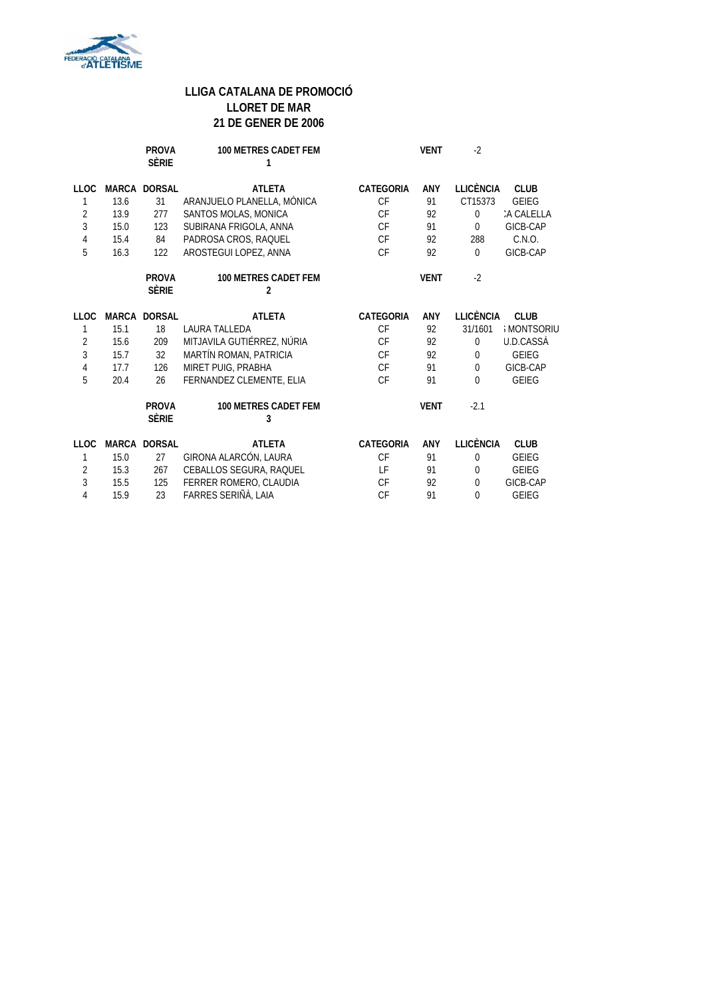

|                |      | <b>PROVA</b><br><b>SÈRIE</b> | <b>100 METRES CADET FEM</b><br>1              |                  | <b>VENT</b> | $-2$             |                  |
|----------------|------|------------------------------|-----------------------------------------------|------------------|-------------|------------------|------------------|
| <b>LLOC</b>    |      | <b>MARCA DORSAL</b>          | <b>ATLETA</b>                                 | <b>CATEGORIA</b> | <b>ANY</b>  | <b>LLICÈNCIA</b> | <b>CLUB</b>      |
| 1              | 13.6 | 31                           | ARANJUELO PLANELLA, MÒNICA                    | <b>CF</b>        | 91          | CT15373          | <b>GEIEG</b>     |
| $\overline{2}$ | 13.9 | 277                          | SANTOS MOLAS, MONICA                          | CF               | 92          | $\Omega$         | A CALELLA        |
| 3              | 15.0 | 123                          | SUBIRANA FRIGOLA, ANNA                        | <b>CF</b>        | 91          | $\Omega$         | GICB-CAP         |
| 4              | 15.4 | 84                           | PADROSA CROS, RAQUEL                          | <b>CF</b>        | 92          | 288              | C.N.O.           |
| 5              | 16.3 | 122                          | AROSTEGUI LOPEZ, ANNA                         | <b>CF</b>        | 92          | $\Omega$         | GICB-CAP         |
|                |      | <b>PROVA</b><br><b>SÈRIE</b> | <b>100 METRES CADET FEM</b><br>$\overline{2}$ |                  | <b>VENT</b> | $-2$             |                  |
| <b>LLOC</b>    |      | <b>MARCA DORSAL</b>          | <b>ATLETA</b>                                 | <b>CATEGORIA</b> | ANY         | <b>LLICÈNCIA</b> | <b>CLUB</b>      |
| 1              | 15.1 | 18                           | <b>LAURA TALLEDA</b>                          | CF               | 92          | 31/1601          | <b>MONTSORIU</b> |
| $\overline{2}$ | 15.6 | 209                          | MITJAVILA GUTIÉRREZ, NÚRIA                    | <b>CF</b>        | 92          | $\mathbf{0}$     | <b>U.D.CASSÀ</b> |
| 3              | 15.7 | 32                           | MARTÍN ROMAN, PATRICIA                        | CF               | 92          | $\Omega$         | <b>GEIEG</b>     |
| $\sqrt{4}$     | 17.7 | 126                          | MIRET PUIG, PRABHA                            | CF               | 91          | $\Omega$         | GICB-CAP         |
| 5              | 20.4 | 26                           | FERNANDEZ CLEMENTE, ELIA                      | CF               | 91          | $\Omega$         | <b>GEIEG</b>     |
|                |      | <b>PROVA</b><br><b>SÈRIE</b> | 100 METRES CADET FEM<br>3                     |                  | <b>VENT</b> | $-2.1$           |                  |
| <b>LLOC</b>    |      | <b>MARCA DORSAL</b>          | <b>ATLETA</b>                                 | <b>CATEGORIA</b> | ANY         | <b>LLICÈNCIA</b> | <b>CLUB</b>      |
| 1              | 15.0 | 27                           | GIRONA ALARCÓN, LAURA                         | CF               | 91          | 0                | <b>GEIEG</b>     |
| $\overline{2}$ | 15.3 | 267                          | CEBALLOS SEGURA, RAQUEL                       | LF               | 91          | $\mathbf{0}$     | <b>GEIEG</b>     |
| 3              | 15.5 | 125                          | FERRER ROMERO, CLAUDIA                        | <b>CF</b>        | 92          | $\mathbf{0}$     | GICB-CAP         |
| 4              | 15.9 | 23                           | FARRES SERIÑÀ, LAIA                           | <b>CF</b>        | 91          | $\Omega$         | <b>GEIEG</b>     |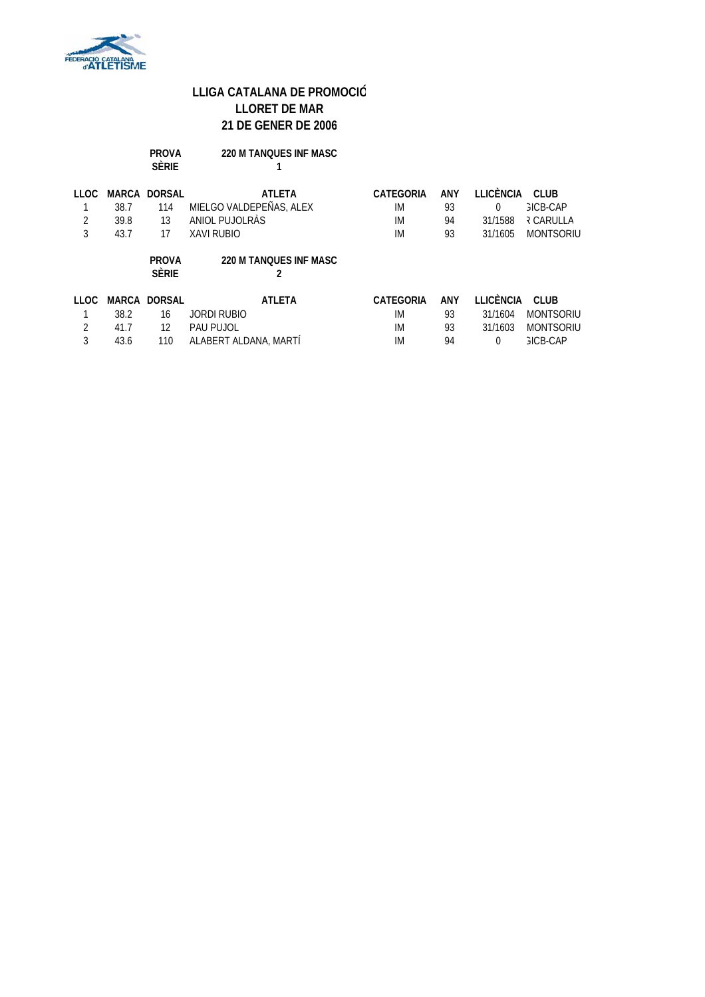

|                       |                               | <b>PROVA</b><br><b>SÈRIE</b>           | <b>220 M TANOUES INF MASC</b>                                            |                                           |                       |                                                    |                                                                  |
|-----------------------|-------------------------------|----------------------------------------|--------------------------------------------------------------------------|-------------------------------------------|-----------------------|----------------------------------------------------|------------------------------------------------------------------|
| <b>LLOC</b><br>2<br>3 | MARCA<br>38.7<br>39.8<br>43.7 | <b>DORSAL</b><br>114<br>13<br>17       | <b>ATLETA</b><br>MIELGO VALDEPEÑAS, ALEX<br>ANIOL PUJOLRÀS<br>XAVI RUBIO | <b>CATEGORIA</b><br>IM<br>IM<br>IM        | ANY<br>93<br>94<br>93 | LLICÈNCIA<br>$\Omega$<br>31/1588<br>31/1605        | CLUB.<br><b>GICB-CAP</b><br><b>R CARULLA</b><br><b>MONTSORIU</b> |
|                       |                               | <b>PROVA</b><br><b>SÈRIE</b>           | <b>220 M TANOUES INF MASC</b><br>2                                       |                                           |                       |                                                    |                                                                  |
| <b>LLOC</b><br>2<br>3 | 38.2<br>41.7<br>43.6          | <b>MARCA DORSAL</b><br>16<br>12<br>110 | <b>ATLETA</b><br>JORDI RUBIO<br>PAU PUJOL<br>ALABERT ALDANA, MARTI       | <b>CATEGORIA</b><br>IM<br><b>IM</b><br>IM | ANY<br>93<br>93<br>94 | <b>LLICÈNCIA</b><br>31/1604<br>31/1603<br>$\Omega$ | CLUB.<br><b>MONTSORIU</b><br><b>MONTSORIU</b><br><b>GICB-CAP</b> |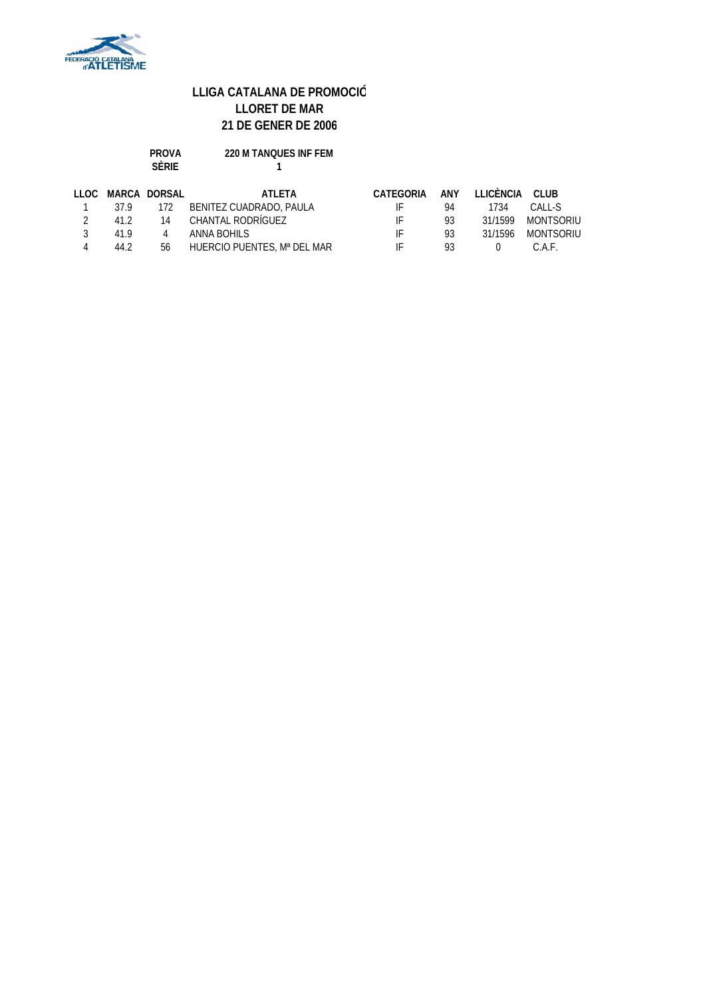

| <b>PROVA</b> | <b>220 M TANOUES INF FEM</b> |
|--------------|------------------------------|
| <b>SFRIF</b> |                              |

| LLOC          |          | MARCA DORSAL | ATI FTA                     | CATEGORIA |     | ANY LLICÈNCIA CLUB |                   |
|---------------|----------|--------------|-----------------------------|-----------|-----|--------------------|-------------------|
|               | 37.9 172 |              | BENITEZ CUADRADO, PAULA     | IE.       | 94  | 1734               | CALL-S            |
| $\mathcal{L}$ | 412      |              | 14 CHANTAL RODRÍGUEZ        | IE.       | 93. |                    | 31/1599 MONTSORIU |
| 3             | 419      | 4            | ANNA BOHILS                 | IE.       | 93  | 31/1596            | MONTSORIU         |
|               | 44.2     | 56           | HUERCIO PUENTES, Mª DEL MAR | IF.       | 93  | $\Omega$           | C.A.F.            |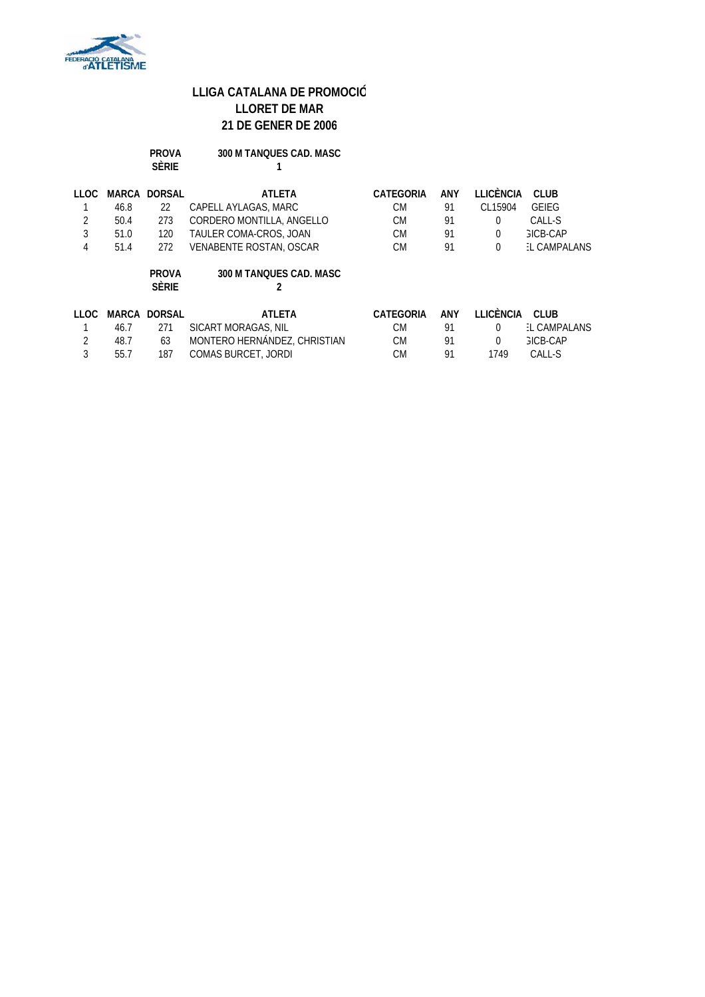

|        |       | <b>PROVA</b><br><b>SÈRIE</b> | 300 M TANOUES CAD. MASC        |           |     |                  |                    |
|--------|-------|------------------------------|--------------------------------|-----------|-----|------------------|--------------------|
| LLOC   |       | <b>MARCA DORSAL</b>          | <b>ATLETA</b>                  | CATEGORIA | ANY | <b>LLICÈNCIA</b> | <b>CLUB</b>        |
|        | 46.8  | 22                           | CAPELL AYLAGAS, MARC           | <b>CM</b> | 91  | CL15904          | <b>GEIEG</b>       |
| 2      | 50.4  | 273                          | CORDERO MONTILLA, ANGELLO      | <b>CM</b> | 91  | 0                | CALL-S             |
| 3      | 51.0  | 120                          | TAULER COMA-CROS, JOAN         | <b>CM</b> | 91  | $\Omega$         | <b>GICB-CAP</b>    |
| 4      | 51.4  | 272                          | <b>VENABENTE ROSTAN, OSCAR</b> | <b>CM</b> | 91  | 0                | L CAMPALANS        |
|        |       | <b>PROVA</b><br><b>SÈRIE</b> | 300 M TANOUES CAD. MASC<br>2   |           |     |                  |                    |
| 11 OC. | MARCA | <b>DORSAL</b>                | ATLETA                         | CATEGORIA | ANY | <b>LLICÈNCIA</b> | CLUB.              |
|        | 46.7  | 271                          | SICART MORAGAS, NIL            | <b>CM</b> | 91  | $\Omega$         | <b>L CAMPALANS</b> |
| 2      | 48.7  | 63                           | MONTERO HERNÁNDEZ, CHRISTIAN   | <b>CM</b> | 91  | 0                | <b>GICB-CAP</b>    |
| 3      | 55.7  | 187                          | <b>COMAS BURCET, JORDI</b>     | <b>CM</b> | 91  | 1749             | CALL-S             |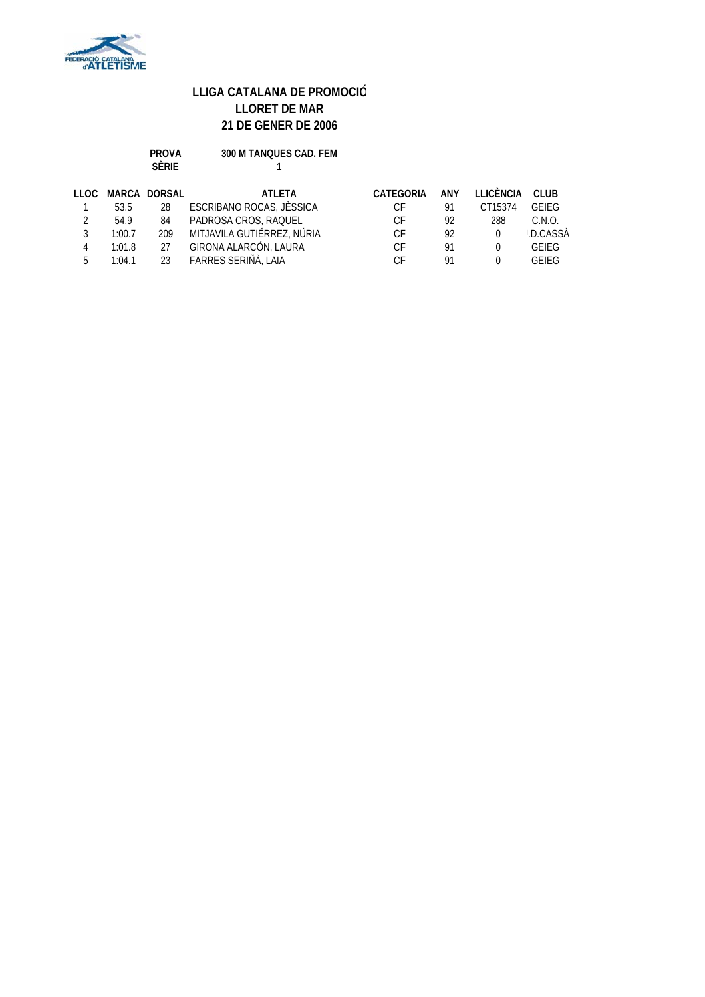

| <b>PROVA</b> | 300 M TANQUES CAD. FEM |
|--------------|------------------------|
| SÈRIF        |                        |

| LLOC |        | MARCA DORSAL | ATI FTA                    | CATEGORIA | ANY | LLICÈNCIA | CLUB.        |
|------|--------|--------------|----------------------------|-----------|-----|-----------|--------------|
|      | 53.5   | 28           | ESCRIBANO ROCAS, JÈSSICA   | C.F       | 91  | CT15374   | GEIFG        |
|      | 54.9   | 84           | PADROSA CROS, RAQUEL       | СF        | 92  | 288       | C.N.O.       |
|      | 1:00.7 | 209          | MITJAVILA GUTIÉRREZ, NÚRIA | СF        | 92  | $\Omega$  | I.D.CASSÀ    |
| 4    | 1:01.8 | 27           | GIRONA ALARCÓN, LAURA      | СF        | 91  |           | <b>GEIFG</b> |
| Б.   | 1:04.1 | 23           | FARRES SERIÑÀ, LAIA        | C.F       | 01  |           | <b>GEIFG</b> |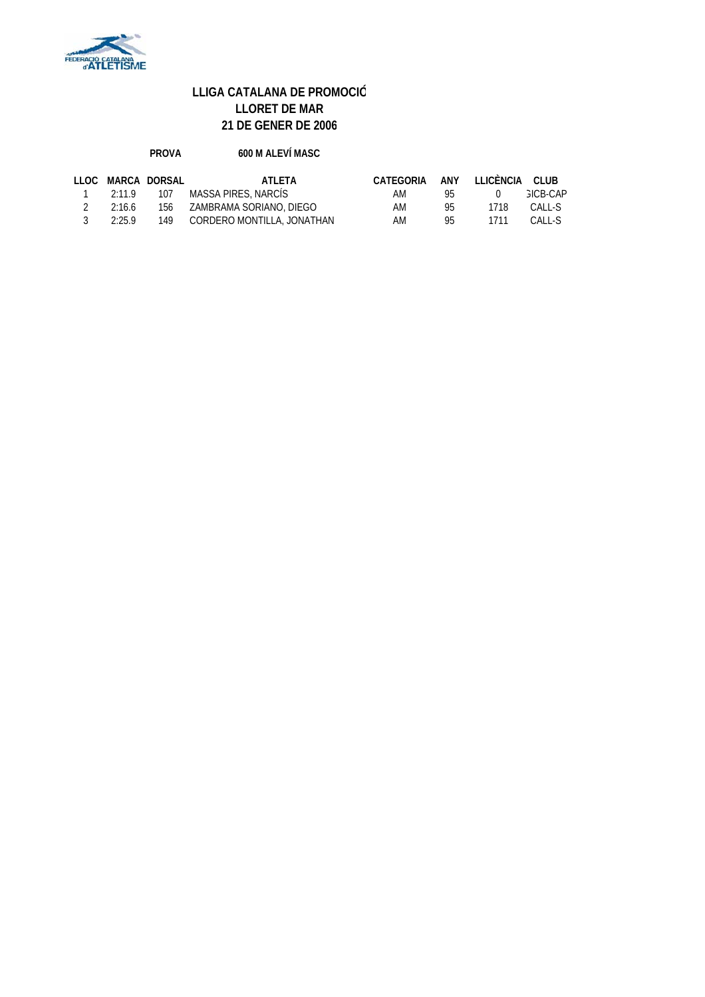

#### **PROVA 600 M ALEVÍ MASC**

|                |        | LLOC MARCA DORSAL | ATI FTA                              | CATEGORIA ANY LLICÈNCIA CLUB |     |          |                 |
|----------------|--------|-------------------|--------------------------------------|------------------------------|-----|----------|-----------------|
|                |        |                   | 1 2:11.9 107 MASSA PIRES, NARCÍS     | AM                           | 95. | $\Omega$ | <b>GICB-CAP</b> |
| $\overline{2}$ | 2:16.6 |                   | 156 ZAMBRAMA SORIANO, DIEGO          | AM                           | 95. | 1718     | CALL-S          |
| $\sim$ 3       | 2:25.9 |                   | 149       CORDERO MONTILLA, JONATHAN | AM                           | 95. | 1711     | CALL-S          |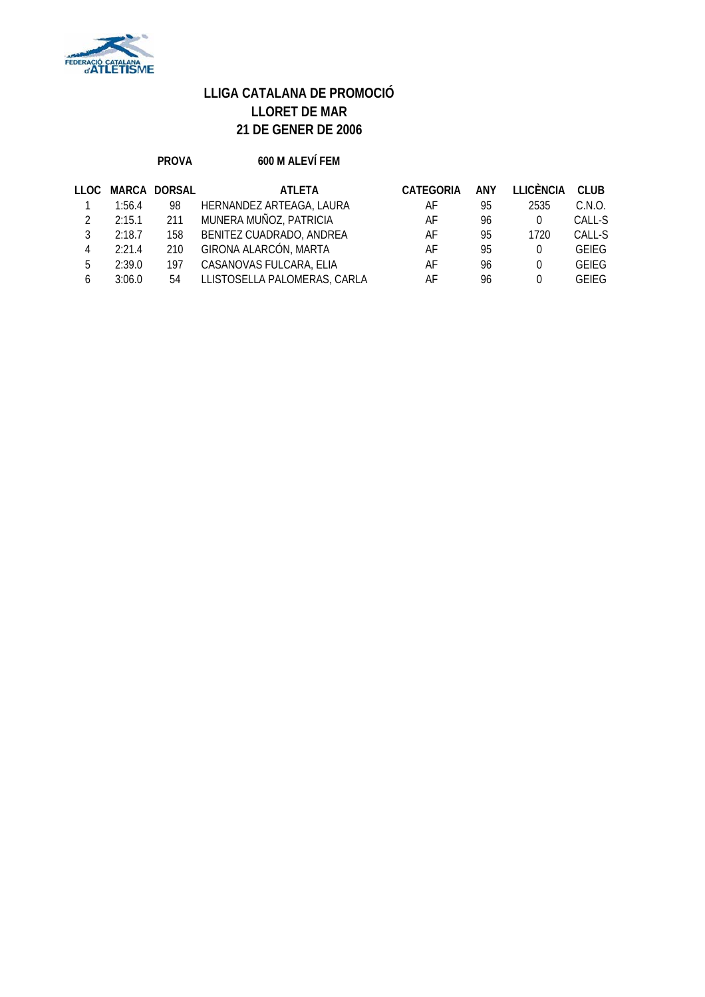

#### **PROVA 600 M ALEVÍ FEM**

| LLOC. |        | MARCA DORSAL | ATI FTA                      | <b>CATEGORIA</b> | ANY | LLICÈNCIA | <b>CLUB</b>  |
|-------|--------|--------------|------------------------------|------------------|-----|-----------|--------------|
|       | 1:56.4 | 98           | HERNANDEZ ARTEAGA, LAURA     | AF               | 95  | 2535      | C.N.O.       |
|       | 2:15.1 | 211          | MUNERA MUÑOZ, PATRICIA       | AF               | 96  |           | CALL-S       |
|       | 2:18.7 | 158          | BENITEZ CUADRADO, ANDREA     | AF               | 95  | 1720      | CALL-S       |
|       | 2:21.4 | 210          | GIRONA ALARCÓN, MARTA        | AF               | 95  |           | <b>GEIEG</b> |
| 5     | 2:39.0 | 197          | CASANOVAS FULCARA, ELIA      | AF               | 96  |           | <b>GEIEG</b> |
|       | 3:06.0 | 54           | LLISTOSELLA PALOMERAS, CARLA | AF               | 96  |           | <b>GFIFG</b> |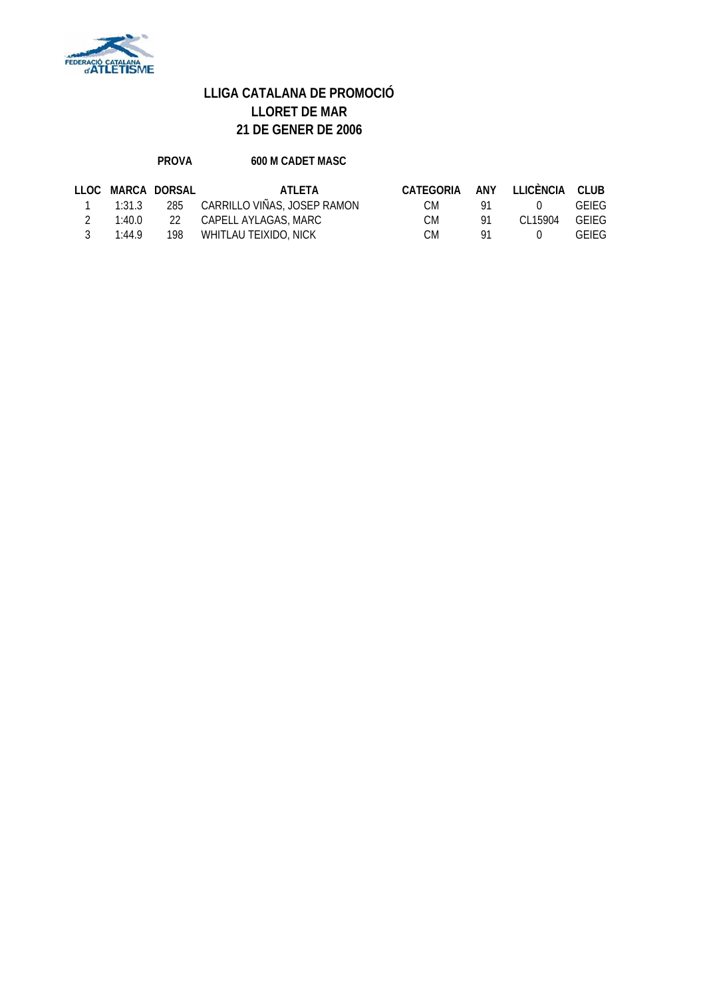

#### PROVA 600 M CADET MASC

|               |        | LLOC MARCA DORSAL | ATI FTA                         | CATEGORIA ANY LLICÈNCIA CLUB |     |               |              |
|---------------|--------|-------------------|---------------------------------|------------------------------|-----|---------------|--------------|
|               | 1:31.3 |                   | 285 CARRILLO VIÑAS, JOSEP RAMON | CM -                         | 91  | (1)           | <b>GEIEG</b> |
| $\mathcal{P}$ | 1:40.0 |                   | 22         CAPELL AYLAGAS, MARC | CM.                          | -91 | CL15904 GEIEG |              |
| $\mathcal{R}$ | 1:44.9 |                   | 198 WHITLAU TEIXIDO, NICK       | CM.                          | -91 | $\Omega$      | <b>GEIEG</b> |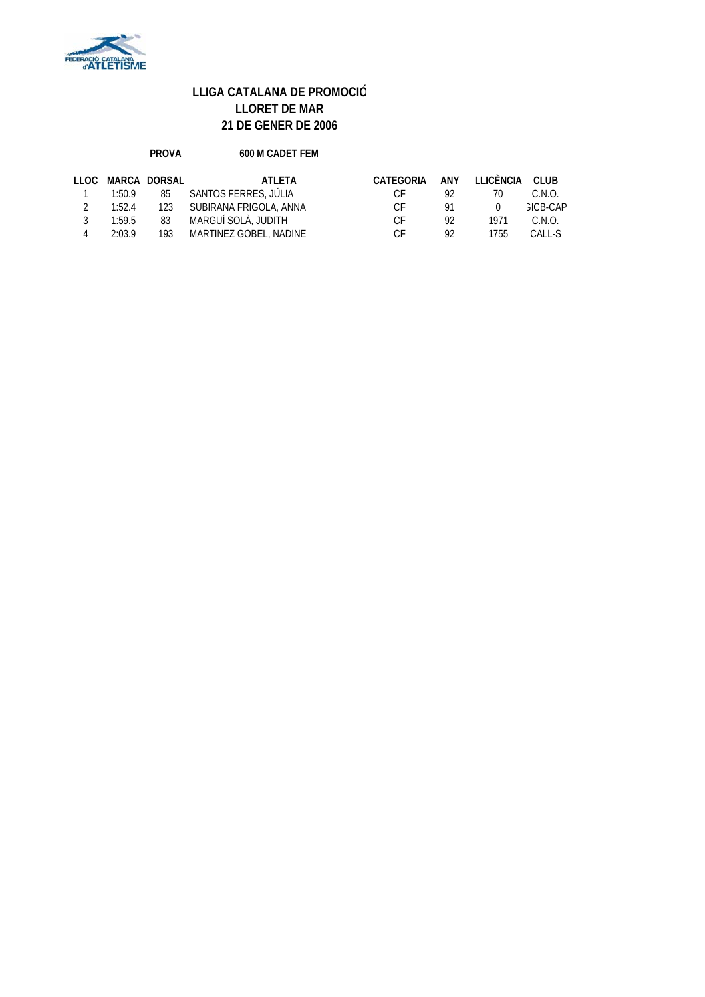

#### **PROVA 600 M CADET FEM**

|                   |        | LLOC MARCA DORSAL | ATI FTA                    | CATEGORIA |     | ANY LLICÈNCIA CLUB |                 |
|-------------------|--------|-------------------|----------------------------|-----------|-----|--------------------|-----------------|
| $\overline{1}$    | 1:50.9 |                   | 85 SANTOS FERRES, JÚLIA    | CE.       | 92. | 70                 | C.N.O.          |
| $\mathcal{P}$     | 1:52.4 |                   | 123 SUBIRANA FRIGOLA, ANNA | CE.       | 91. | $\Omega$           | <b>GICB-CAP</b> |
| 3                 | 1:59.5 |                   | 83 MARGUÍ SOLÀ, JUDITH     | CE.       | 92  | 1971               | C.N.O.          |
| $\mathbf{\Delta}$ | 2:03.9 |                   | 193 MARTINEZ GOBEL, NADINE | C.F       | 92  | 1755               | CALL-S          |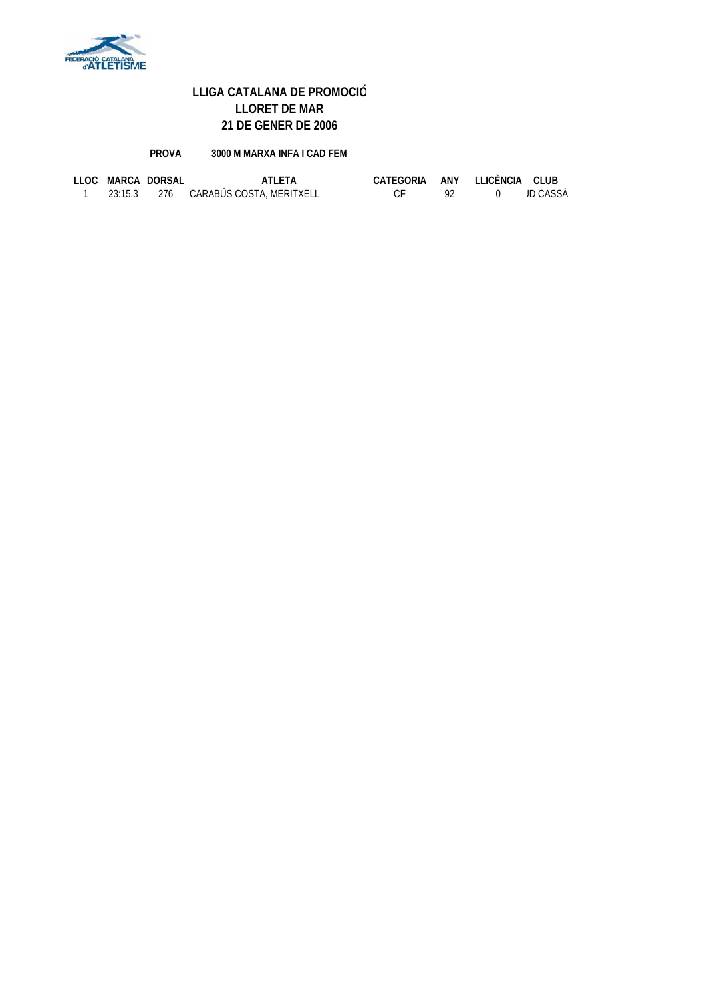

#### **PROVA 3000 M MARXA INFA I CAD FEM**

|  | LLOC MARCA DORSAL | ATI FTA                              | CATEGORIA ANY LLICÈNCIA CLUB |  |          |
|--|-------------------|--------------------------------------|------------------------------|--|----------|
|  |                   | 23:15.3 276 CARABÚS COSTA, MERITXELL |                              |  | JD CASSÀ |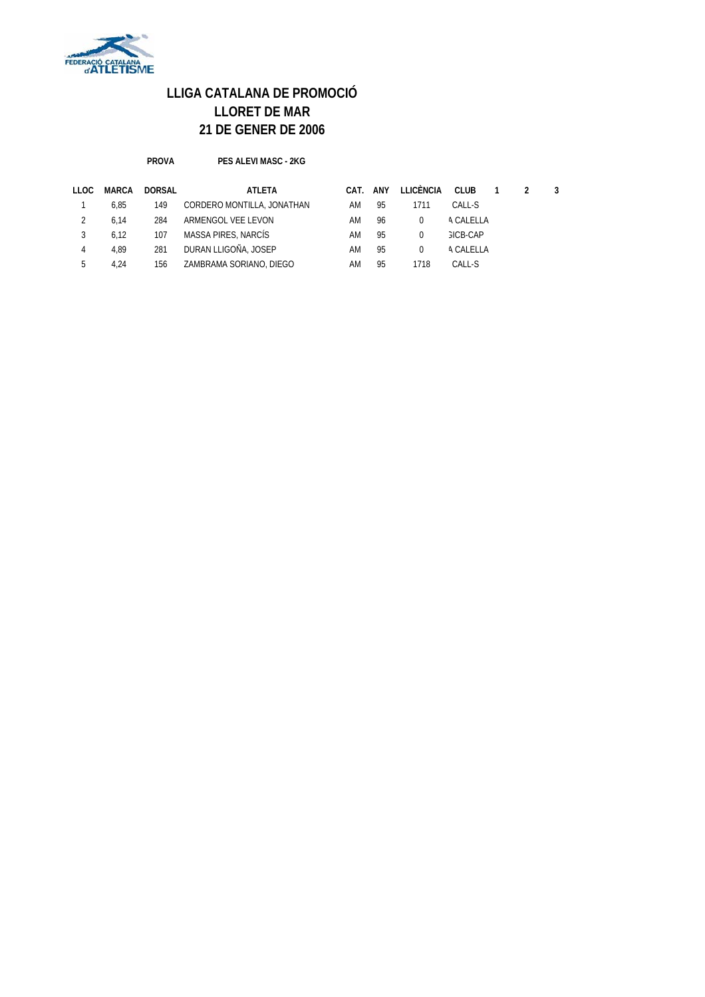

**PROVA PES ALEVI MASC - 2KG**

| LLOC | MARCA | DORSAL | ATLETA                     | CAT. | ANY | LLICÈNCIA | CLUB            | $\overline{1}$ |  |
|------|-------|--------|----------------------------|------|-----|-----------|-----------------|----------------|--|
|      | 6.85  | 149    | CORDERO MONTILLA, JONATHAN | AM   | 95  | 1711      | CALL-S          |                |  |
|      | 6.14  | 284    | ARMENGOL VEE LEVON         | AM   | 96  |           | A CALELLA       |                |  |
|      | 6.12  | 107    | MASSA PIRES, NARCÍS        | AM   | 95  | 0         | <b>GICB-CAP</b> |                |  |
| 4    | 4.89  | 281    | DURAN LLIGOÑA, JOSEP       | ΑM   | 95  | $\Omega$  | A CALELLA       |                |  |
|      | 4.24  | 156    | ZAMBRAMA SORIANO, DIEGO    | ΑM   | 95  | 1718      | CALL-S          |                |  |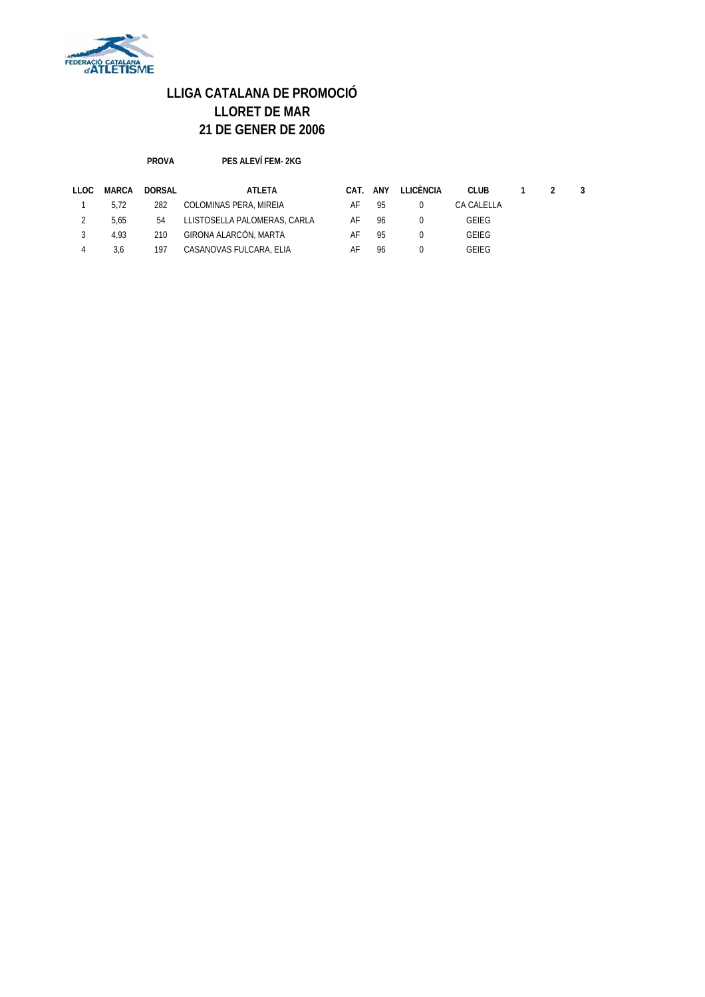

**PROVA PES ALEVÍ FEM- 2KG**

| LLOC | MARCA | DORSAL | ATLETA                       | CAT. | ANY | LLICÈNCIA | CLUB       |  |  |
|------|-------|--------|------------------------------|------|-----|-----------|------------|--|--|
|      | 5.72  | 282    | COLOMINAS PERA, MIREIA       | AF   | 95  |           | CA CALELLA |  |  |
|      | 5.65  | 54     | LLISTOSELLA PALOMERAS, CARLA | AF   | 96  |           | GEIEG      |  |  |
|      | 4.93  | 210    | GIRONA ALARCÓN, MARTA        | AF   | 95  |           | GEIEG      |  |  |
|      | 3.6   | 197    | CASANOVAS FULCARA, ELIA      | AF   | 96  |           | GEIEG      |  |  |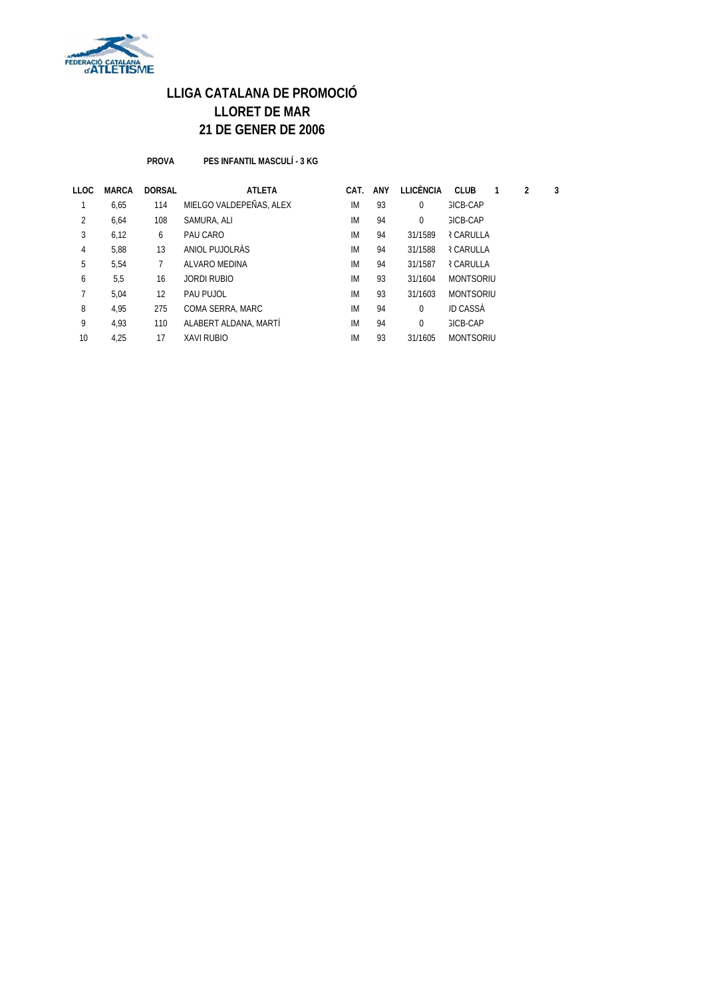

**PROVA PES INFANTIL MASCULÍ - 3 KG**

| LLOC | <b>MARCA</b> | <b>DORSAL</b> | <b>ATLETA</b>           | CAT. | <b>ANY</b> | <b>LLICÈNCIA</b> | <b>CLUB</b>      | 2 | 3 |
|------|--------------|---------------|-------------------------|------|------------|------------------|------------------|---|---|
|      | 6,65         | 114           | MIELGO VALDEPEÑAS, ALEX | IM   | 93         | $\mathbf 0$      | <b>GICB-CAP</b>  |   |   |
| 2    | 6,64         | 108           | SAMURA, ALI             | IM   | 94         | $\mathbf 0$      | <b>GICB-CAP</b>  |   |   |
| 3    | 6,12         | 6             | PAU CARO                | IM   | 94         | 31/1589          | <b>R CARULLA</b> |   |   |
| 4    | 5,88         | 13            | ANIOL PUJOLRÀS          | IM   | 94         | 31/1588          | <b>R CARULLA</b> |   |   |
| 5    | 5,54         |               | ALVARO MEDINA           | IM   | 94         | 31/1587          | <b>R CARULLA</b> |   |   |
| 6    | 5,5          | 16            | JORDI RUBIO             | IM   | 93         | 31/1604          | <b>MONTSORIU</b> |   |   |
|      | 5,04         | 12            | PAU PUJOL               | IM   | 93         | 31/1603          | <b>MONTSORIU</b> |   |   |
| 8    | 4.95         | 275           | COMA SERRA, MARC        | IM   | 94         | $\Omega$         | <b>JD CASSA</b>  |   |   |
| 9    | 4,93         | 110           | ALABERT ALDANA, MARTÍ   | IM   | 94         | $\Omega$         | <b>GICB-CAP</b>  |   |   |
| 10   | 4,25         | 17            | <b>XAVI RUBIO</b>       | IM   | 93         | 31/1605          | <b>MONTSORIU</b> |   |   |
|      |              |               |                         |      |            |                  |                  |   |   |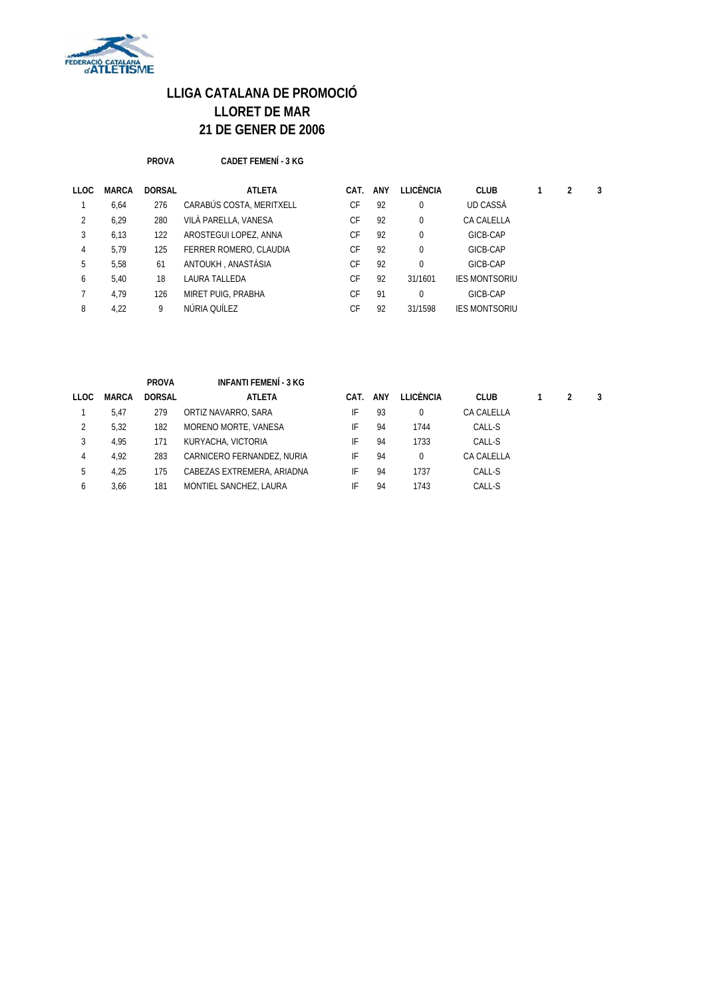

**PROVA CADET FEMENÍ - 3 KG**

| LLOC | <b>MARCA</b> | <b>DORSAL</b> | ATLETA                   | CAT. | ANY | LLICÈNCIA | <b>CLUB</b>          | 2 | 3 |
|------|--------------|---------------|--------------------------|------|-----|-----------|----------------------|---|---|
|      | 6,64         | 276           | CARABÚS COSTA, MERITXELL | CF   | 92  |           | UD CASSA             |   |   |
| 2    | 6,29         | 280           | VILÀ PARELLA, VANESA     | CF   | 92  |           | CA CALELLA           |   |   |
| 3    | 6.13         | 122           | AROSTEGUI LOPEZ, ANNA    | СF   | 92  | 0         | GICB-CAP             |   |   |
| 4    | 5.79         | 125           | FERRER ROMERO, CLAUDIA   | CF   | 92  | 0         | GICB-CAP             |   |   |
| 5    | 5.58         | 61            | ANTOUKH, ANASTÀSIA       | CF   | 92  | 0         | GICB-CAP             |   |   |
| 6    | 5,40         | 18            | LAURA TALLEDA            | СF   | 92  | 31/1601   | <b>IES MONTSORIU</b> |   |   |
|      | 4.79         | 126           | MIRET PUIG, PRABHA       | CF   | 91  |           | GICB-CAP             |   |   |
| 8    | 4.22         | 9             | NÚRIA OUÍLEZ             | СF   | 92  | 31/1598   | <b>IES MONTSORIU</b> |   |   |

|      |              | <b>PROVA</b>  | INFANTI FEMENÍ - 3 KG      |      |     |           |             |  |   |
|------|--------------|---------------|----------------------------|------|-----|-----------|-------------|--|---|
| LLOC | <b>MARCA</b> | <b>DORSAL</b> | <b>ATLETA</b>              | CAT. | ANY | LLICÈNCIA | <b>CLUB</b> |  | 3 |
|      | 5.47         | 279           | ORTIZ NAVARRO, SARA        | IF   | 93  |           | CA CALELLA  |  |   |
|      | 5.32         | 182           | MORENO MORTE, VANESA       | IF   | 94  | 1744      | CALL-S      |  |   |
| 3    | 4.95         | 171           | KURYACHA, VICTORIA         | IF   | 94  | 1733      | CALL-S      |  |   |
| 4    | 4.92         | 283           | CARNICERO FERNANDEZ, NURIA | IF   | 94  |           | CA CALELLA  |  |   |
| 5    | 4.25         | 175           | CABEZAS EXTREMERA, ARIADNA | IF   | 94  | 1737      | CALL-S      |  |   |
| 6    | 3.66         | 181           | MONTIEL SANCHEZ, LAURA     | IF   | 94  | 1743      | CALL-S      |  |   |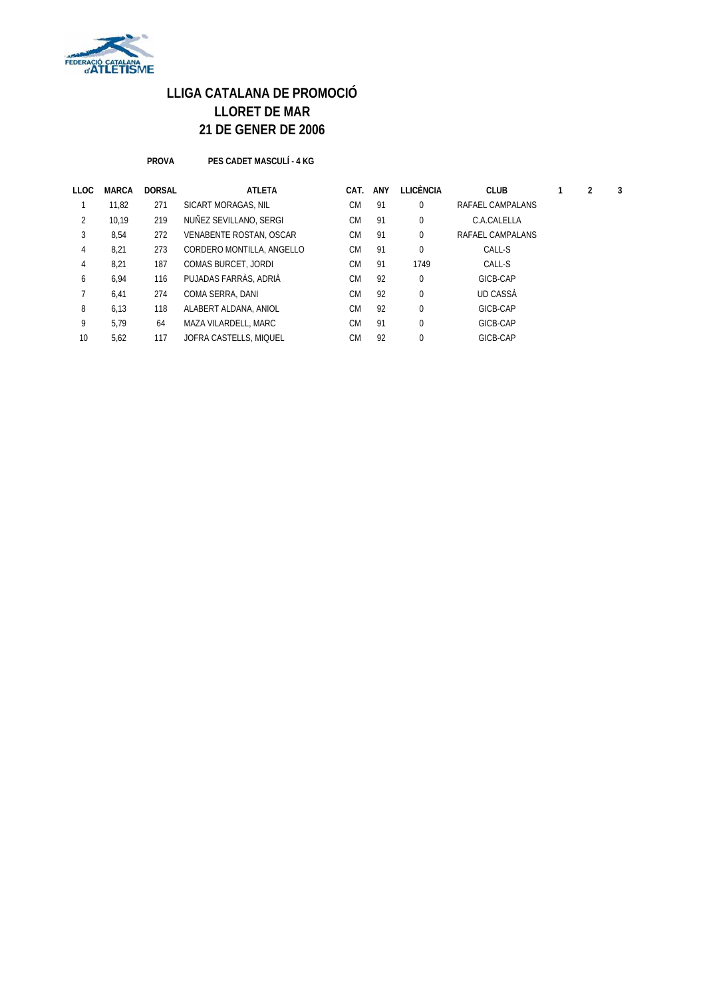

**PROVA PES CADET MASCULÍ - 4 KG**

| LLOC | <b>MARCA</b> | <b>DORSAL</b> | <b>ATLETA</b>              | CAT.      | ANY | LLICÈNCIA   | <b>CLUB</b>      |  | 3 |
|------|--------------|---------------|----------------------------|-----------|-----|-------------|------------------|--|---|
|      | 11,82        | 271           | SICART MORAGAS, NIL        | <b>CM</b> | 91  | $\mathbf 0$ | RAFAEL CAMPALANS |  |   |
| 2    | 10.19        | 219           | NUÑEZ SEVILLANO, SERGI     | <b>CM</b> | 91  | $\mathbf 0$ | C.A.CALELLA      |  |   |
| 3    | 8,54         | 272           | VENABENTE ROSTAN, OSCAR    | <b>CM</b> | 91  | $\mathbf 0$ | RAFAEL CAMPALANS |  |   |
| 4    | 8,21         | 273           | CORDERO MONTILLA, ANGELLO  | <b>CM</b> | 91  | $\mathbf 0$ | CALL-S           |  |   |
| 4    | 8,21         | 187           | <b>COMAS BURCET, JORDI</b> | <b>CM</b> | 91  | 1749        | CALL-S           |  |   |
| 6    | 6,94         | 116           | PUJADAS FARRÀS, ADRIÀ      | <b>CM</b> | 92  | $\mathbf 0$ | GICB-CAP         |  |   |
|      | 6,41         | 274           | COMA SERRA, DANI           | <b>CM</b> | 92  | $\mathbf 0$ | UD CASSA         |  |   |
| 8    | 6,13         | 118           | ALABERT ALDANA, ANIOL      | <b>CM</b> | 92  | $\Omega$    | GICB-CAP         |  |   |
| 9    | 5.79         | 64            | MAZA VILARDELL, MARC       | <b>CM</b> | 91  | $\mathbf 0$ | GICB-CAP         |  |   |
| 10   | 5,62         | 117           | JOFRA CASTELLS, MIQUEL     | СM        | 92  | $\Omega$    | GICB-CAP         |  |   |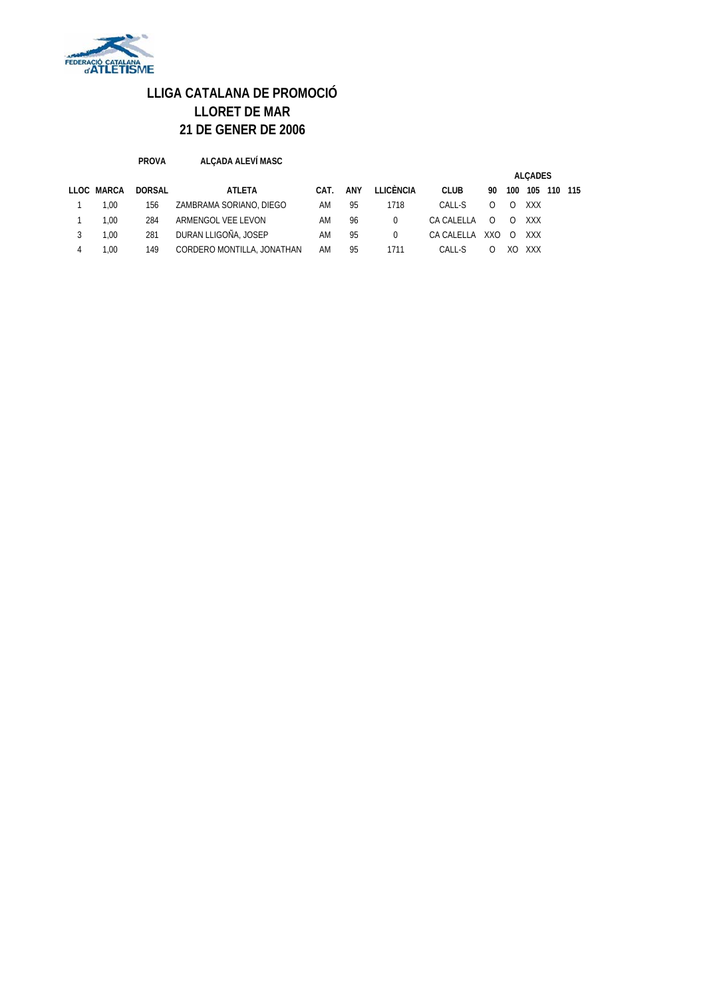

| <b>PROVA</b> | ALÇADA ALEVÍ MASC |
|--------------|-------------------|
|              |                   |

|   |            |        |                            |      |     |           |             |          |          | <b>ALCADES</b> |         |  |
|---|------------|--------|----------------------------|------|-----|-----------|-------------|----------|----------|----------------|---------|--|
|   | LLOC MARCA | DORSAL | ATLETA                     | CAT. | ANY | LLICÈNCIA | <b>CLUB</b> | 90       | 100      | 105            | 110 115 |  |
|   | 1.00       | 156    | ZAMBRAMA SORIANO, DIEGO    | AM   | 95  | 1718      | CALL-S      |          | $\Omega$ | XXX            |         |  |
|   | 1.00       | 284    | ARMENGOL VEE LEVON         | AM   | 96  | $\Omega$  | CA CALELLA  | $\Omega$ | $\Omega$ | XXX            |         |  |
| 3 | 1.00       | 281    | DURAN LLIGOÑA, JOSEP       | AM   | 95  |           | CA CALELLA  | XXO      | $\Omega$ | XXX            |         |  |
|   | .00        | 149    | CORDERO MONTILLA, JONATHAN | AM   | 95  | 1711      | CALL-S      |          | XO       | XXX            |         |  |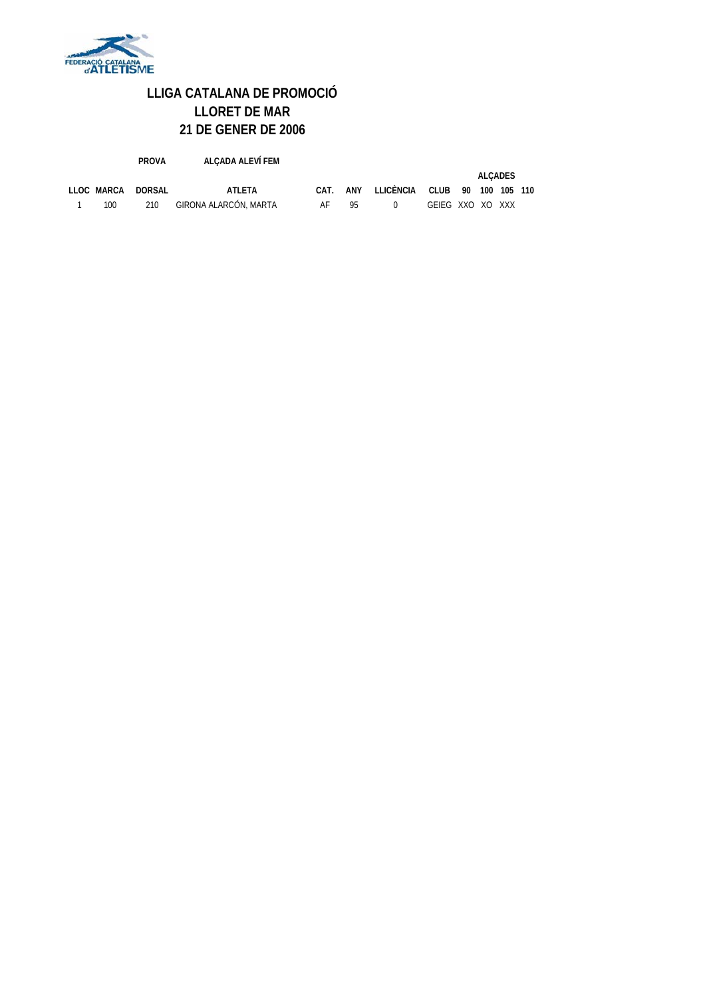

|            | <b>PROVA</b> | ALCADA ALEVÍ FEM      |      |     |           |                  |     |                |  |
|------------|--------------|-----------------------|------|-----|-----------|------------------|-----|----------------|--|
|            |              |                       |      |     |           |                  |     | <b>ALCADES</b> |  |
| LLOC MARCA | DORSAL       | ATLETA                | CAT. | ANY | LLICÈNCIA | <b>CLUB</b>      | 90. | 100 105 110    |  |
| 100        | 210          | GIRONA ALARCÓN, MARTA | AF   | 95  | $\Omega$  | GEIEG XXO XO XXX |     |                |  |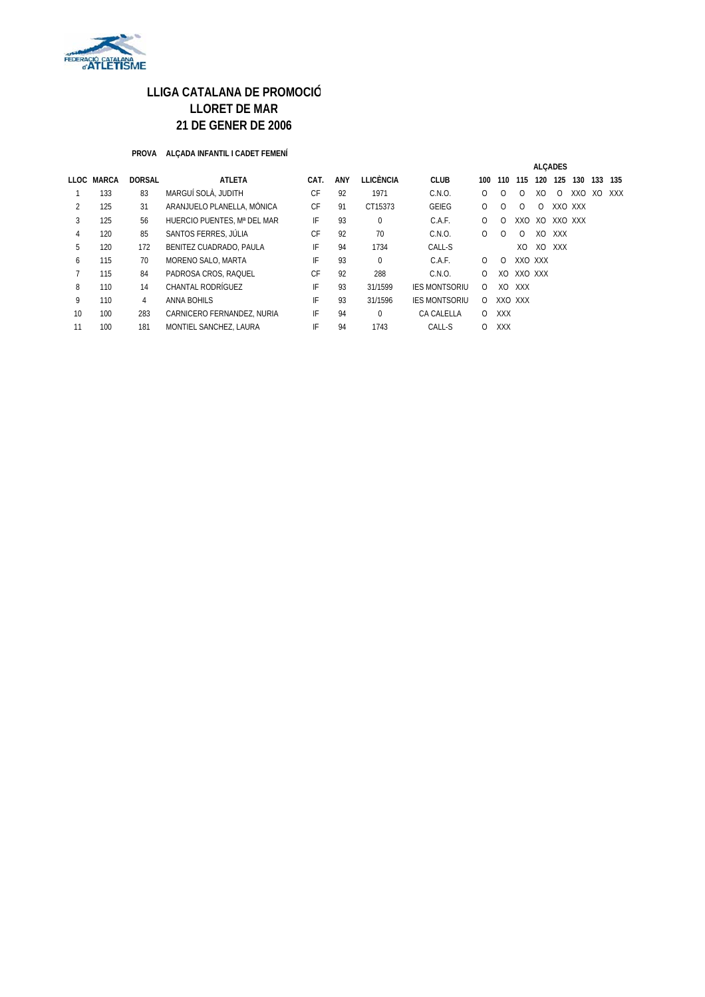

#### **PROVA ALÇADA INFANTIL I CADET FEMENÍ**

|    |            |               |                             |      |     |           |                      | <b>ALCADES</b> |            |          |                |            |         |     |     |
|----|------------|---------------|-----------------------------|------|-----|-----------|----------------------|----------------|------------|----------|----------------|------------|---------|-----|-----|
|    | LLOC MARCA | <b>DORSAL</b> | <b>ATLETA</b>               | CAT. | ANY | LLICÈNCIA | <b>CLUB</b>          | 100            | 110        | 115      | 120            | 125        | 130     | 133 | 135 |
|    | 133        | 83            | MARGUÍ SOLÀ. JUDITH         | СF   | 92  | 1971      | C.N.O.               | $\Omega$       | $\Omega$   | $\Omega$ | X <sub>O</sub> | 0          | XXO     | XO  | XXX |
| 2  | 125        | 31            | ARANJUELO PLANELLA, MÒNICA  | СF   | 91  | CT15373   | GEIEG                | $\Omega$       | $\Omega$   | $\Omega$ | 0              |            | XXO XXX |     |     |
| 3  | 125        | 56            | HUERCIO PUENTES. Mª DEL MAR | IF   | 93  | $\Omega$  | C.A.F.               | $\Omega$       | $\Omega$   | XXQ      | XO             | XXO XXX    |         |     |     |
| 4  | 120        | 85            | SANTOS FERRES, JÚLIA        | CF   | 92  | 70        | C.N.O.               | $\Omega$       | $\Omega$   | $\Omega$ | XO             | XXX        |         |     |     |
| 5  | 120        | 172           | BENITEZ CUADRADO, PAULA     | IF   | 94  | 1734      | CALL-S               |                |            | XQ       | XO             | <b>XXX</b> |         |     |     |
| 6  | 115        | 70            | MORENO SALO, MARTA          | IF   | 93  | $\Omega$  | C.A.F.               | 0              | 0          | XXO XXX  |                |            |         |     |     |
|    | 115        | 84            | PADROSA CROS, RAQUEL        | CF   | 92  | 288       | C.N.O.               | 0              | XO         | XXO XXX  |                |            |         |     |     |
| 8  | 110        | 14            | CHANTAL RODRÍGUEZ           | IF   | 93  | 31/1599   | <b>IES MONTSORIU</b> | 0              | XO         | XXX      |                |            |         |     |     |
| 9  | 110        | 4             | ANNA BOHILS                 | IF   | 93  | 31/1596   | <b>IES MONTSORIU</b> | 0              |            | XXO XXX  |                |            |         |     |     |
| 10 | 100        | 283           | CARNICERO FERNANDEZ, NURIA  | IF   | 94  | $\Omega$  | CA CALELLA           | $\Omega$       | <b>XXX</b> |          |                |            |         |     |     |
| 11 | 100        | 181           | MONTIEL SANCHEZ, LAURA      | IF   | 94  | 1743      | CALL-S               | 0              | <b>XXX</b> |          |                |            |         |     |     |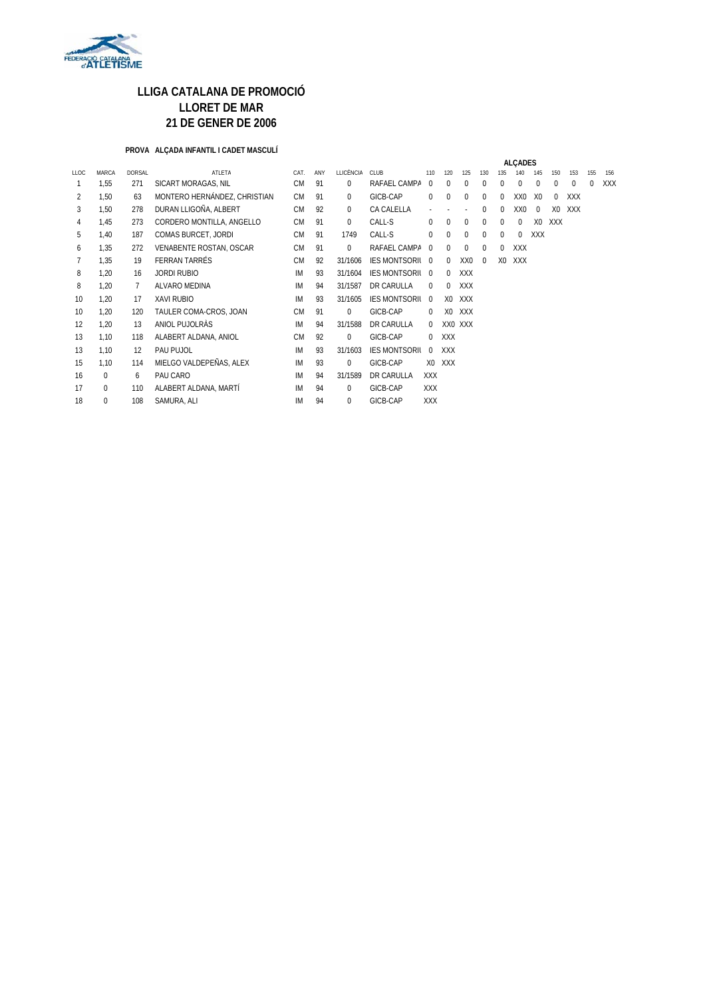

#### **PROVA ALÇADA INFANTIL I CADET MASCULÍ**

|                |          |               |                              |           |     |             |                        |            |                |                 |             |                | <b>ALCADES</b> |                |                |     |     |            |
|----------------|----------|---------------|------------------------------|-----------|-----|-------------|------------------------|------------|----------------|-----------------|-------------|----------------|----------------|----------------|----------------|-----|-----|------------|
| LLOC           | MARCA    | <b>DORSAL</b> | ATLETA                       | CAT.      | ANY | LLICÈNCIA   | CLUB                   | 110        | 120            | 125             | 130         | 135            |                | 145            | 150            | 153 | 155 | 156        |
| 1              | 1,55     | 271           | SICART MORAGAS, NIL          | <b>CM</b> | 91  | $\Omega$    | RAFAEL CAMPA           | $\Omega$   | 0              | $\Omega$        | $\Omega$    | $\Omega$       | $\Omega$       | $\Omega$       | $\Omega$       | 0   | 0   | <b>XXX</b> |
| $\overline{2}$ | 1,50     | 63            | MONTERO HERNÁNDEZ, CHRISTIAN | <b>CM</b> | 91  | 0           | GICB-CAP               | 0          | $\Omega$       | $\Omega$        | $\Omega$    | $\Omega$       | XX0            | X <sub>0</sub> | 0              | XXX |     |            |
| 3              | 1,50     | 278           | DURAN LLIGOÑA, ALBERT        | <b>CM</b> | 92  | $\Omega$    | CA CALELLA             |            |                |                 | $\Omega$    | $\Omega$       | XX0            | $\Omega$       | X <sub>0</sub> | XXX |     |            |
| 4              | 1,45     | 273           | CORDERO MONTILLA, ANGELLO    | <b>CM</b> | 91  | $\Omega$    | CALL-S                 | $\Omega$   | 0              | $\Omega$        | $\Omega$    | $\Omega$       | $\mathbf 0$    | X <sub>0</sub> | <b>XXX</b>     |     |     |            |
| 5              | 1,40     | 187           | COMAS BURCET, JORDI          | <b>CM</b> | 91  | 1749        | CALL-S                 | 0          | 0              | $\mathbf 0$     | $\mathbf 0$ | $\Omega$       | $\mathbf 0$    | <b>XXX</b>     |                |     |     |            |
| 6              | 1,35     | 272           | VENABENTE ROSTAN, OSCAR      | <b>CM</b> | 91  | $\Omega$    | RAFAEL CAMPA           | $\Omega$   | $\Omega$       | $\Omega$        | $\Omega$    | $\Omega$       | <b>XXX</b>     |                |                |     |     |            |
| 7              | 1.35     | 19            | <b>FERRAN TARRÉS</b>         | <b>CM</b> | 92  | 31/1606     | IES MONTSORIL 0        |            | $\Omega$       | XX <sub>0</sub> | $\Omega$    | X <sub>0</sub> | XXX            |                |                |     |     |            |
| 8              | 1,20     | 16            | <b>JORDI RUBIO</b>           | IM        | 93  | 31/1604     | <b>IES MONTSORIL 0</b> |            | $\Omega$       | <b>XXX</b>      |             |                |                |                |                |     |     |            |
| 8              | 1,20     | 7             | ALVARO MEDINA                | IM        | 94  | 31/1587     | <b>DR CARULLA</b>      | $\Omega$   | $\Omega$       | <b>XXX</b>      |             |                |                |                |                |     |     |            |
| 10             | 1.20     | 17            | <b>XAVI RUBIO</b>            | <b>IM</b> | 93  | 31/1605     | <b>IES MONTSORIL</b>   | $\Omega$   | X <sub>0</sub> | <b>XXX</b>      |             |                |                |                |                |     |     |            |
| 10             | 1,20     | 120           | TAULER COMA-CROS, JOAN       | <b>CM</b> | 91  | $\Omega$    | GICB-CAP               | $\Omega$   | X <sub>0</sub> | <b>XXX</b>      |             |                |                |                |                |     |     |            |
| 12             | 1,20     | 13            | ANIOL PUJOLRAS               | IM        | 94  | 31/1588     | DR CARULLA             | $\Omega$   |                | XX0 XXX         |             |                |                |                |                |     |     |            |
| 13             | 1,10     | 118           | ALABERT ALDANA, ANIOL        | <b>CM</b> | 92  | $\mathbf 0$ | GICB-CAP               | $\Omega$   | <b>XXX</b>     |                 |             |                |                |                |                |     |     |            |
| 13             | 1,10     | 12            | PAU PUJOL                    | IM        | 93  | 31/1603     | <b>IES MONTSORIL</b>   | $\Omega$   | <b>XXX</b>     |                 |             |                |                |                |                |     |     |            |
| 15             | 1,10     | 114           | MIELGO VALDEPEÑAS, ALEX      | IM        | 93  | $\Omega$    | GICB-CAP               | XO.        | XXX            |                 |             |                |                |                |                |     |     |            |
| 16             | $\Omega$ | 6             | PAU CARO                     | IM        | 94  | 31/1589     | DR CARULLA             | <b>XXX</b> |                |                 |             |                |                |                |                |     |     |            |
| 17             | $\Omega$ | 110           | ALABERT ALDANA, MARTÍ        | <b>IM</b> | 94  | $\Omega$    | GICB-CAP               | <b>XXX</b> |                |                 |             |                |                |                |                |     |     |            |
| 18             | 0        | 108           | SAMURA, ALI                  | IM        | 94  | $\Omega$    | GICB-CAP               | <b>XXX</b> |                |                 |             |                |                |                |                |     |     |            |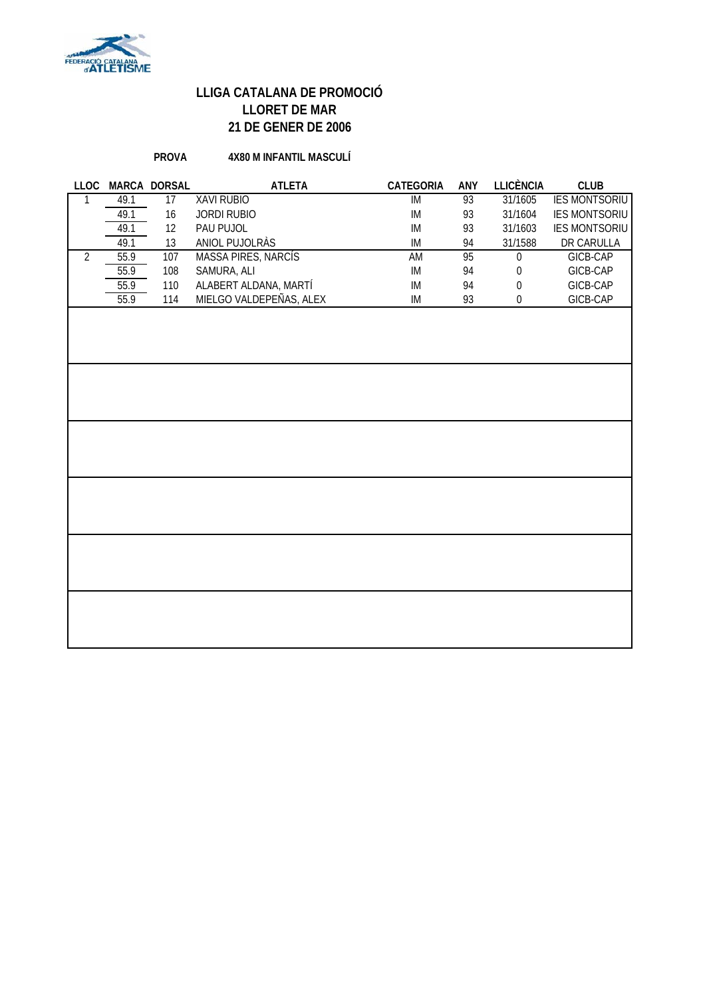

#### **PROVA 4X80 M INFANTIL MASCULÍ**

|                |      | LLOC MARCA DORSAL | <b>ATLETA</b>           | CATEGORIA | ANY | LLICÈNCIA        | <b>CLUB</b>          |
|----------------|------|-------------------|-------------------------|-----------|-----|------------------|----------------------|
| 1              | 49.1 | 17                | <b>XAVI RUBIO</b>       | IM        | 93  | 31/1605          | <b>IES MONTSORIU</b> |
|                | 49.1 | 16                | <b>JORDI RUBIO</b>      | IM        | 93  | 31/1604          | <b>IES MONTSORIU</b> |
|                | 49.1 | 12                | PAU PUJOL               | IM        | 93  | 31/1603          | <b>IES MONTSORIU</b> |
|                | 49.1 | 13                | ANIOL PUJOLRÀS          | IM        | 94  | 31/1588          | DR CARULLA           |
| $\overline{2}$ | 55.9 | 107               | MASSA PIRES, NARCÍS     | AM        | 95  | $\boldsymbol{0}$ | GICB-CAP             |
|                | 55.9 | 108               | SAMURA, ALI             | IM        | 94  | 0                | GICB-CAP             |
|                | 55.9 | 110               | ALABERT ALDANA, MARTÍ   | IM        | 94  | $\boldsymbol{0}$ | GICB-CAP             |
|                | 55.9 | 114               | MIELGO VALDEPEÑAS, ALEX | IM        | 93  | 0                | GICB-CAP             |
|                |      |                   |                         |           |     |                  |                      |
|                |      |                   |                         |           |     |                  |                      |
|                |      |                   |                         |           |     |                  |                      |
|                |      |                   |                         |           |     |                  |                      |
|                |      |                   |                         |           |     |                  |                      |
|                |      |                   |                         |           |     |                  |                      |
|                |      |                   |                         |           |     |                  |                      |
|                |      |                   |                         |           |     |                  |                      |
|                |      |                   |                         |           |     |                  |                      |
|                |      |                   |                         |           |     |                  |                      |
|                |      |                   |                         |           |     |                  |                      |
|                |      |                   |                         |           |     |                  |                      |
|                |      |                   |                         |           |     |                  |                      |
|                |      |                   |                         |           |     |                  |                      |
|                |      |                   |                         |           |     |                  |                      |
|                |      |                   |                         |           |     |                  |                      |
|                |      |                   |                         |           |     |                  |                      |
|                |      |                   |                         |           |     |                  |                      |
|                |      |                   |                         |           |     |                  |                      |
|                |      |                   |                         |           |     |                  |                      |
|                |      |                   |                         |           |     |                  |                      |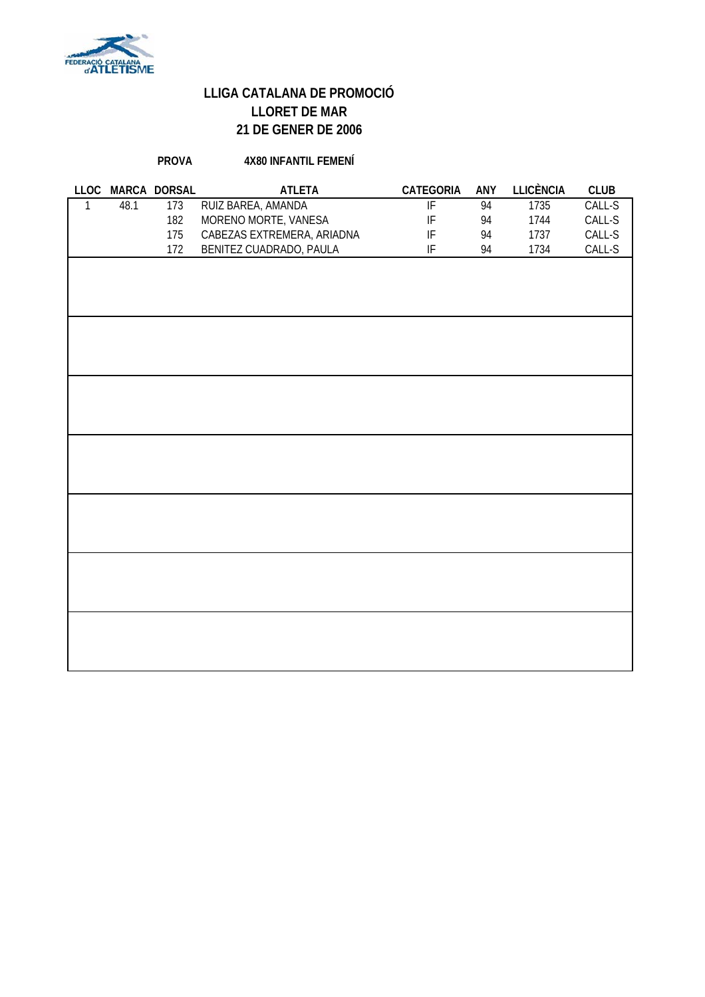

#### **PROVA 4X80 INFANTIL FEMENÍ**

|      | LLOC MARCA DORSAL | <b>ATLETA</b>              | CATEGORIA                  | ANY | <b>LLICÈNCIA</b> | <b>CLUB</b> |
|------|-------------------|----------------------------|----------------------------|-----|------------------|-------------|
| 48.1 | 173               | RUIZ BAREA, AMANDA         | $\overline{\mathbb{F}}$    | 94  | 1735             | CALL-S      |
|      | 182               | MORENO MORTE, VANESA       | $\ensuremath{\mathsf{IF}}$ | 94  | 1744             | $CALL-S$    |
|      | 175               | CABEZAS EXTREMERA, ARIADNA | IF                         | 94  | 1737             | $CALL-S$    |
|      | 172               | BENITEZ CUADRADO, PAULA    | $\ensuremath{\mathsf{IF}}$ | 94  | 1734             | $CALL-S$    |
|      |                   |                            |                            |     |                  |             |
|      |                   |                            |                            |     |                  |             |
|      |                   |                            |                            |     |                  |             |
|      |                   |                            |                            |     |                  |             |
|      |                   |                            |                            |     |                  |             |
|      |                   |                            |                            |     |                  |             |
|      |                   |                            |                            |     |                  |             |
|      |                   |                            |                            |     |                  |             |
|      |                   |                            |                            |     |                  |             |
|      |                   |                            |                            |     |                  |             |
|      |                   |                            |                            |     |                  |             |
|      |                   |                            |                            |     |                  |             |
|      |                   |                            |                            |     |                  |             |
|      |                   |                            |                            |     |                  |             |
|      |                   |                            |                            |     |                  |             |
|      |                   |                            |                            |     |                  |             |
|      |                   |                            |                            |     |                  |             |
|      |                   |                            |                            |     |                  |             |
|      |                   |                            |                            |     |                  |             |
|      |                   |                            |                            |     |                  |             |
|      |                   |                            |                            |     |                  |             |
|      |                   |                            |                            |     |                  |             |
|      |                   |                            |                            |     |                  |             |
|      |                   |                            |                            |     |                  |             |
|      |                   |                            |                            |     |                  |             |
|      |                   |                            |                            |     |                  |             |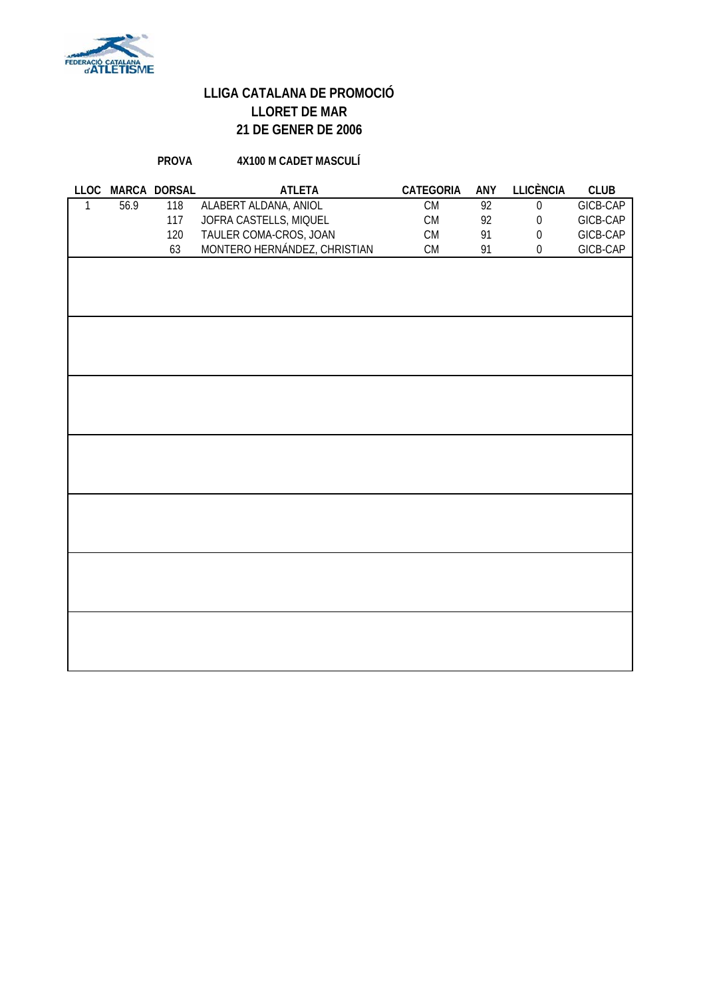

#### **PROVA 4X100 M CADET MASCULÍ**

|      | LLOC MARCA DORSAL | <b>ATLETA</b>                | CATEGORIA  | ANY             | <b>LLICÈNCIA</b> | <b>CLUB</b> |
|------|-------------------|------------------------------|------------|-----------------|------------------|-------------|
| 56.9 | 118               | ALABERT ALDANA, ANIOL        | CM         | $\overline{92}$ | $\boldsymbol{0}$ | GICB-CAP    |
|      | 117               | JOFRA CASTELLS, MIQUEL       | ${\sf CM}$ | 92              | $\boldsymbol{0}$ | GICB-CAP    |
|      | 120               | TAULER COMA-CROS, JOAN       | ${\sf CM}$ | 91              | $\boldsymbol{0}$ | GICB-CAP    |
|      | 63                | MONTERO HERNÁNDEZ, CHRISTIAN | CM         | 91              | $\boldsymbol{0}$ | GICB-CAP    |
|      |                   |                              |            |                 |                  |             |
|      |                   |                              |            |                 |                  |             |
|      |                   |                              |            |                 |                  |             |
|      |                   |                              |            |                 |                  |             |
|      |                   |                              |            |                 |                  |             |
|      |                   |                              |            |                 |                  |             |
|      |                   |                              |            |                 |                  |             |
|      |                   |                              |            |                 |                  |             |
|      |                   |                              |            |                 |                  |             |
|      |                   |                              |            |                 |                  |             |
|      |                   |                              |            |                 |                  |             |
|      |                   |                              |            |                 |                  |             |
|      |                   |                              |            |                 |                  |             |
|      |                   |                              |            |                 |                  |             |
|      |                   |                              |            |                 |                  |             |
|      |                   |                              |            |                 |                  |             |
|      |                   |                              |            |                 |                  |             |
|      |                   |                              |            |                 |                  |             |
|      |                   |                              |            |                 |                  |             |
|      |                   |                              |            |                 |                  |             |
|      |                   |                              |            |                 |                  |             |
|      |                   |                              |            |                 |                  |             |
|      |                   |                              |            |                 |                  |             |
|      |                   |                              |            |                 |                  |             |
|      |                   |                              |            |                 |                  |             |
|      |                   |                              |            |                 |                  |             |